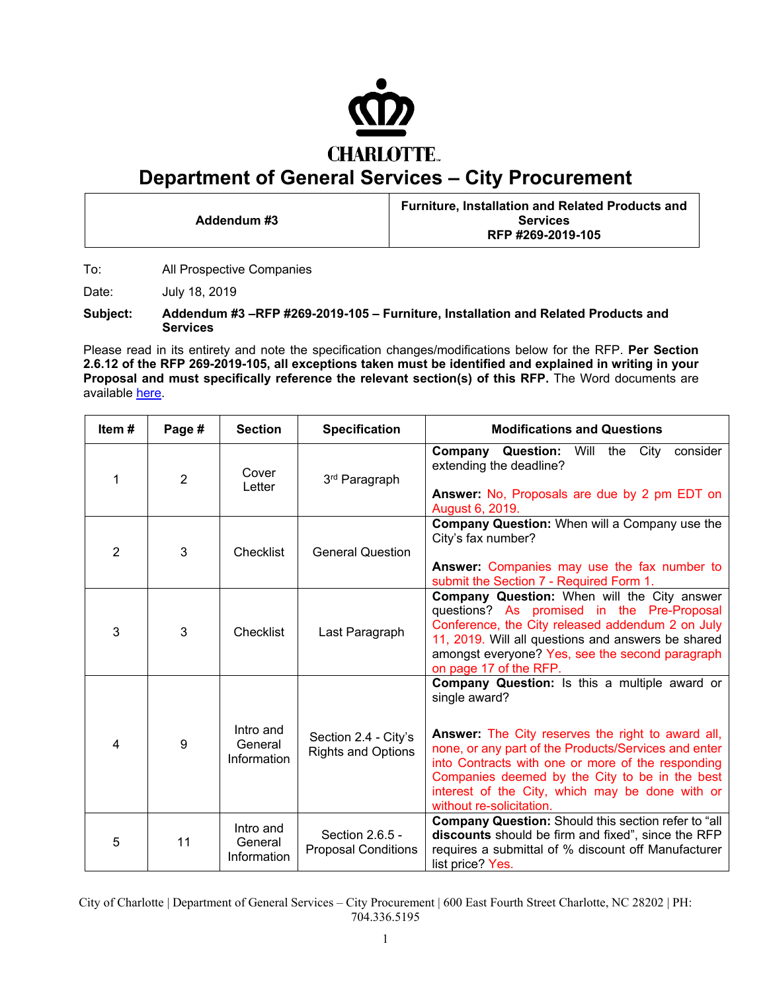

## **Department of General Services – City Procurement**

**Addendum #3 Furniture, Installation and Related Products and Services RFP #269-2019-105** 

To: All Prospective Companies

Date: July 18, 2019

**Subject: Addendum #3 –RFP #269-2019-105 – Furniture, Installation and Related Products and Services** 

Please read in its entirety and note the specification changes/modifications below for the RFP. **Per Section 2.6.12 of the RFP 269-2019-105, all exceptions taken must be identified and explained in writing in your Proposal and must specifically reference the relevant section(s) of this RFP.** The Word documents are available [here.](https://charlottenc.gov/DoingBusiness/Pages/SolicitationDetails.aspx?ID=1081)

| Item#          | Page #         | <b>Section</b>                      | <b>Specification</b>                              | <b>Modifications and Questions</b>                                                                                                                                                                                                                                                                                                                                       |
|----------------|----------------|-------------------------------------|---------------------------------------------------|--------------------------------------------------------------------------------------------------------------------------------------------------------------------------------------------------------------------------------------------------------------------------------------------------------------------------------------------------------------------------|
| 1              | $\overline{2}$ | Cover<br>Letter                     | 3 <sup>rd</sup> Paragraph                         | <b>Company Question:</b> Will the City consider<br>extending the deadline?<br>Answer: No, Proposals are due by 2 pm EDT on<br>August 6, 2019.                                                                                                                                                                                                                            |
| $\overline{2}$ | 3              | Checklist                           | <b>General Question</b>                           | Company Question: When will a Company use the<br>City's fax number?<br>Answer: Companies may use the fax number to<br>submit the Section 7 - Required Form 1.                                                                                                                                                                                                            |
| 3              | 3              | Checklist                           | Last Paragraph                                    | Company Question: When will the City answer<br>questions? As promised in the Pre-Proposal<br>Conference, the City released addendum 2 on July<br>11, 2019. Will all questions and answers be shared<br>amongst everyone? Yes, see the second paragraph<br>on page 17 of the RFP.                                                                                         |
| 4              | 9              | Intro and<br>General<br>Information | Section 2.4 - City's<br><b>Rights and Options</b> | Company Question: Is this a multiple award or<br>single award?<br><b>Answer:</b> The City reserves the right to award all,<br>none, or any part of the Products/Services and enter<br>into Contracts with one or more of the responding<br>Companies deemed by the City to be in the best<br>interest of the City, which may be done with or<br>without re-solicitation. |
| 5              | 11             | Intro and<br>General<br>Information | Section 2.6.5 -<br><b>Proposal Conditions</b>     | Company Question: Should this section refer to "all<br>discounts should be firm and fixed", since the RFP<br>requires a submittal of % discount off Manufacturer<br>list price? Yes.                                                                                                                                                                                     |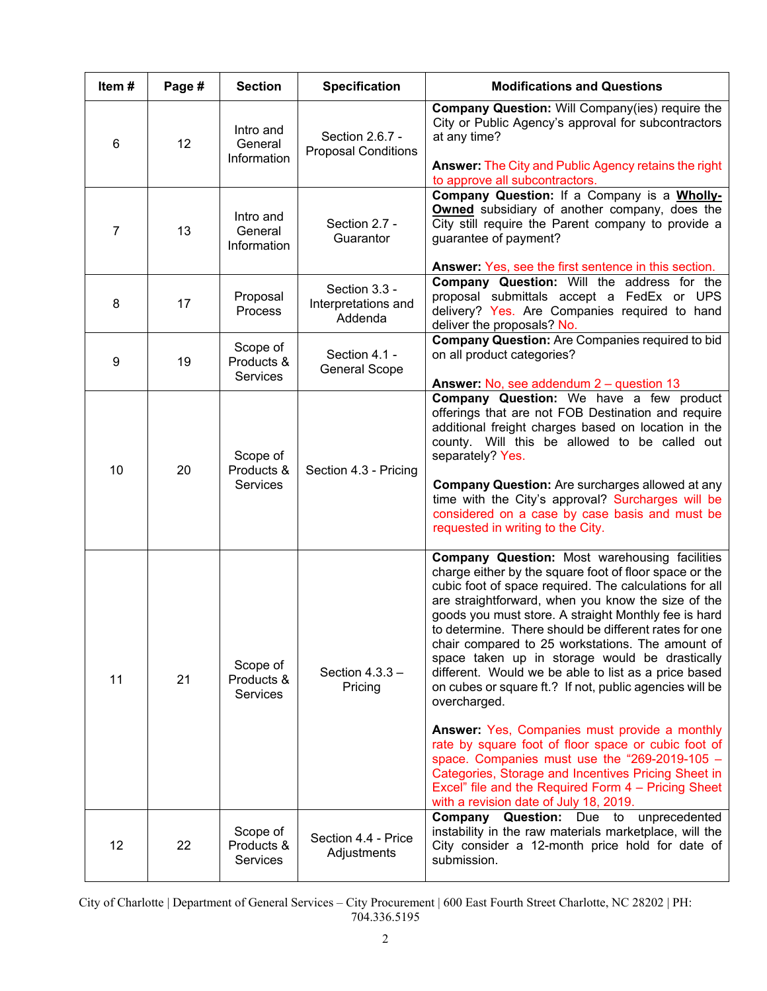| Item# | Page #          | <b>Section</b>                            | <b>Specification</b>                            | <b>Modifications and Questions</b>                                                                                                                                                                                                                                                                                                                                                                                                                                                                                                                                                       |
|-------|-----------------|-------------------------------------------|-------------------------------------------------|------------------------------------------------------------------------------------------------------------------------------------------------------------------------------------------------------------------------------------------------------------------------------------------------------------------------------------------------------------------------------------------------------------------------------------------------------------------------------------------------------------------------------------------------------------------------------------------|
| 6     | 12 <sup>2</sup> | Intro and<br>General<br>Information       | Section 2.6.7 -<br><b>Proposal Conditions</b>   | Company Question: Will Company(ies) require the<br>City or Public Agency's approval for subcontractors<br>at any time?<br><b>Answer: The City and Public Agency retains the right</b>                                                                                                                                                                                                                                                                                                                                                                                                    |
| 7     | 13              | Intro and<br>General<br>Information       | Section 2.7 -<br>Guarantor                      | to approve all subcontractors.<br>Company Question: If a Company is a Wholly-<br><b>Owned</b> subsidiary of another company, does the<br>City still require the Parent company to provide a<br>guarantee of payment?                                                                                                                                                                                                                                                                                                                                                                     |
| 8     | 17              | Proposal<br><b>Process</b>                | Section 3.3 -<br>Interpretations and<br>Addenda | Answer: Yes, see the first sentence in this section.<br>Company Question: Will the address for the<br>proposal submittals accept a FedEx or UPS<br>delivery? Yes. Are Companies required to hand<br>deliver the proposals? No.                                                                                                                                                                                                                                                                                                                                                           |
| 9     | 19              | Scope of<br>Products &<br><b>Services</b> | Section 4.1 -<br><b>General Scope</b>           | <b>Company Question: Are Companies required to bid</b><br>on all product categories?                                                                                                                                                                                                                                                                                                                                                                                                                                                                                                     |
| 10    | 20              | Scope of<br>Products &<br>Services        | Section 4.3 - Pricing                           | <b>Answer: No, see addendum 2 – question 13</b><br>Company Question: We have a few product<br>offerings that are not FOB Destination and require<br>additional freight charges based on location in the<br>county. Will this be allowed to be called out<br>separately? Yes.<br><b>Company Question:</b> Are surcharges allowed at any<br>time with the City's approval? Surcharges will be<br>considered on a case by case basis and must be<br>requested in writing to the City.                                                                                                       |
| 11    | 21              | Scope of<br>Products &<br><b>Services</b> | Section $4.3.3 -$<br>Pricing                    | <b>Company Question: Most warehousing facilities</b><br>charge either by the square foot of floor space or the<br>cubic foot of space required. The calculations for all<br>are straightforward, when you know the size of the<br>goods you must store. A straight Monthly fee is hard<br>to determine. There should be different rates for one<br>chair compared to 25 workstations. The amount of<br>space taken up in storage would be drastically<br>different. Would we be able to list as a price based<br>on cubes or square ft.? If not, public agencies will be<br>overcharged. |
|       |                 |                                           |                                                 | <b>Answer: Yes, Companies must provide a monthly</b><br>rate by square foot of floor space or cubic foot of<br>space. Companies must use the "269-2019-105 -<br>Categories, Storage and Incentives Pricing Sheet in<br>Excel" file and the Required Form 4 - Pricing Sheet<br>with a revision date of July 18, 2019.                                                                                                                                                                                                                                                                     |
| 12    | 22              | Scope of<br>Products &<br>Services        | Section 4.4 - Price<br>Adjustments              | Company Question: Due to<br>unprecedented<br>instability in the raw materials marketplace, will the<br>City consider a 12-month price hold for date of<br>submission.                                                                                                                                                                                                                                                                                                                                                                                                                    |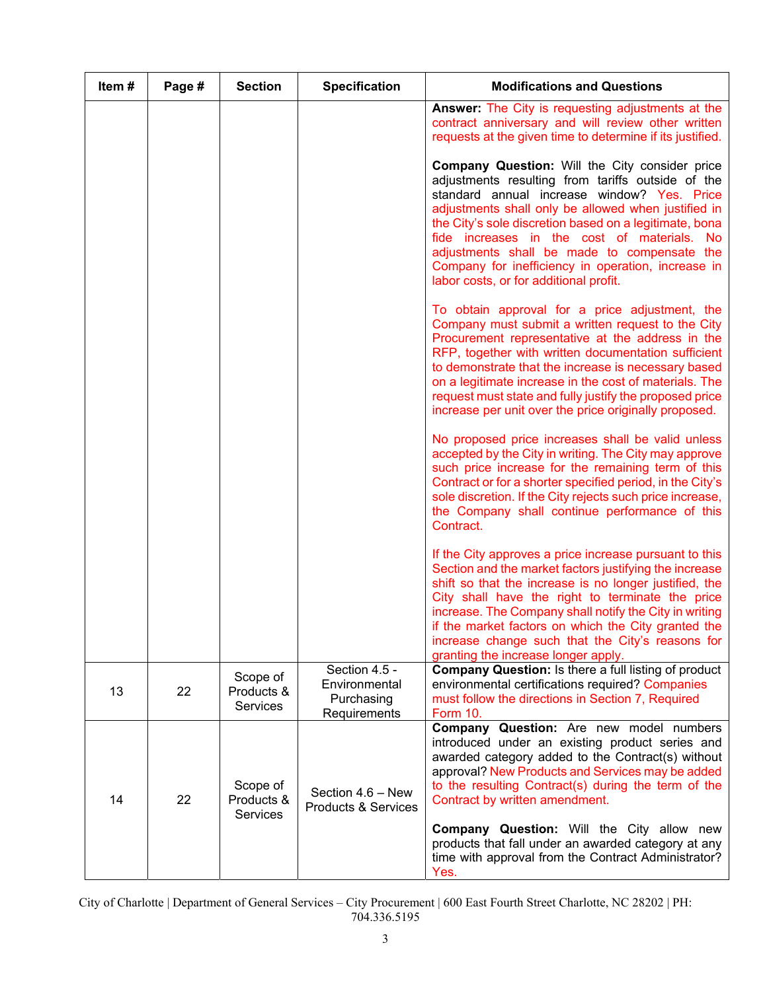| Item# | Page # | <b>Section</b>                            | <b>Specification</b>                                         | <b>Modifications and Questions</b>                                                                                                                                                                                                                                                                                                                                                                                                                                |
|-------|--------|-------------------------------------------|--------------------------------------------------------------|-------------------------------------------------------------------------------------------------------------------------------------------------------------------------------------------------------------------------------------------------------------------------------------------------------------------------------------------------------------------------------------------------------------------------------------------------------------------|
|       |        |                                           |                                                              | <b>Answer:</b> The City is requesting adjustments at the<br>contract anniversary and will review other written<br>requests at the given time to determine if its justified.                                                                                                                                                                                                                                                                                       |
|       |        |                                           |                                                              | Company Question: Will the City consider price<br>adjustments resulting from tariffs outside of the<br>standard annual increase window? Yes. Price<br>adjustments shall only be allowed when justified in<br>the City's sole discretion based on a legitimate, bona<br>fide increases in the cost of materials. No<br>adjustments shall be made to compensate the<br>Company for inefficiency in operation, increase in<br>labor costs, or for additional profit. |
|       |        |                                           |                                                              | To obtain approval for a price adjustment, the<br>Company must submit a written request to the City<br>Procurement representative at the address in the<br>RFP, together with written documentation sufficient<br>to demonstrate that the increase is necessary based<br>on a legitimate increase in the cost of materials. The<br>request must state and fully justify the proposed price<br>increase per unit over the price originally proposed.               |
|       |        |                                           |                                                              | No proposed price increases shall be valid unless<br>accepted by the City in writing. The City may approve<br>such price increase for the remaining term of this<br>Contract or for a shorter specified period, in the City's<br>sole discretion. If the City rejects such price increase,<br>the Company shall continue performance of this<br>Contract.                                                                                                         |
|       |        |                                           |                                                              | If the City approves a price increase pursuant to this<br>Section and the market factors justifying the increase<br>shift so that the increase is no longer justified, the<br>City shall have the right to terminate the price<br>increase. The Company shall notify the City in writing<br>if the market factors on which the City granted the<br>increase change such that the City's reasons for<br>granting the increase longer apply.                        |
| 13    | 22     | Scope of<br>Products &<br>Services        | Section 4.5 -<br>Environmental<br>Purchasing<br>Requirements | <b>Company Question: Is there a full listing of product</b><br>environmental certifications required? Companies<br>must follow the directions in Section 7, Required<br><b>Form 10.</b>                                                                                                                                                                                                                                                                           |
| 14    | 22     | Scope of<br>Products &<br><b>Services</b> | Section 4.6 - New<br><b>Products &amp; Services</b>          | Company Question: Are new model numbers<br>introduced under an existing product series and<br>awarded category added to the Contract(s) without<br>approval? New Products and Services may be added<br>to the resulting Contract(s) during the term of the<br>Contract by written amendment.                                                                                                                                                                      |
|       |        |                                           |                                                              | Company Question: Will the City allow new<br>products that fall under an awarded category at any<br>time with approval from the Contract Administrator?<br>Yes.                                                                                                                                                                                                                                                                                                   |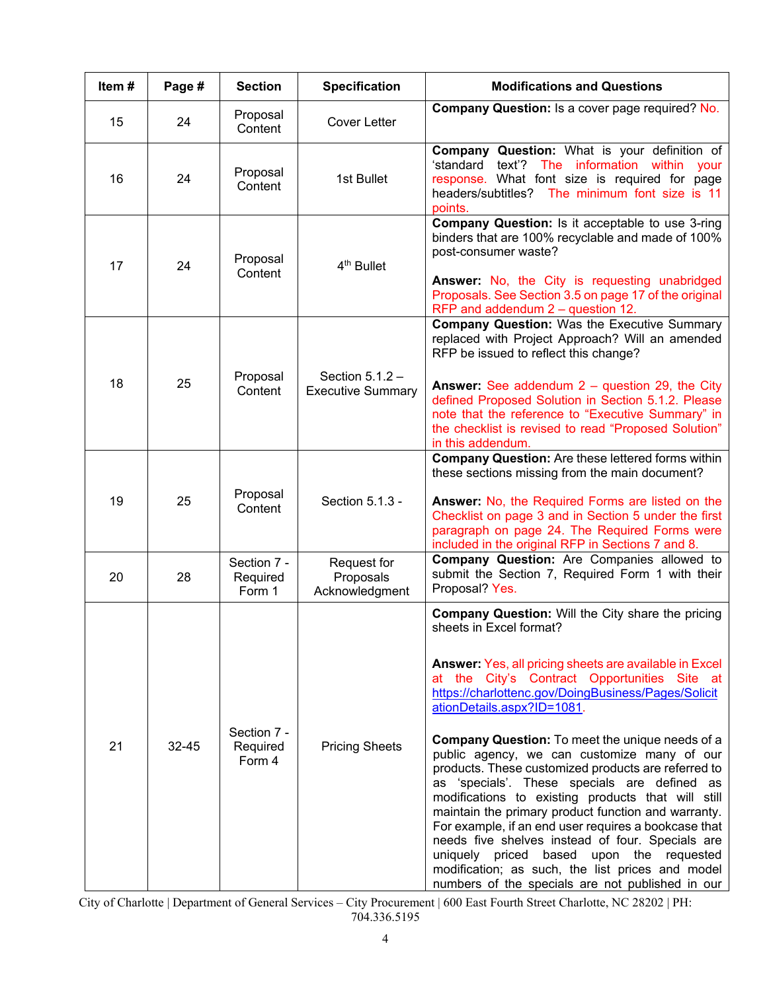| Item# | Page #    | <b>Section</b>                    | <b>Specification</b>                          | <b>Modifications and Questions</b>                                                                                                                                                                                                                                                                                                                                                                                                                                                                                                                                                                                                                                                                                                                                                                                                                                              |
|-------|-----------|-----------------------------------|-----------------------------------------------|---------------------------------------------------------------------------------------------------------------------------------------------------------------------------------------------------------------------------------------------------------------------------------------------------------------------------------------------------------------------------------------------------------------------------------------------------------------------------------------------------------------------------------------------------------------------------------------------------------------------------------------------------------------------------------------------------------------------------------------------------------------------------------------------------------------------------------------------------------------------------------|
| 15    | 24        | Proposal<br>Content               | <b>Cover Letter</b>                           | Company Question: Is a cover page required? No.                                                                                                                                                                                                                                                                                                                                                                                                                                                                                                                                                                                                                                                                                                                                                                                                                                 |
| 16    | 24        | Proposal<br>Content               | 1st Bullet                                    | Company Question: What is your definition of<br>text'? The information<br>ʻstandard<br>within<br>your<br>response. What font size is required for page<br>The minimum font size is 11<br>headers/subtitles?<br>points.                                                                                                                                                                                                                                                                                                                                                                                                                                                                                                                                                                                                                                                          |
| 17    | 24        | Proposal<br>Content               | 4 <sup>th</sup> Bullet                        | Company Question: Is it acceptable to use 3-ring<br>binders that are 100% recyclable and made of 100%<br>post-consumer waste?<br>Answer: No, the City is requesting unabridged<br>Proposals. See Section 3.5 on page 17 of the original<br>RFP and addendum $2 -$ question 12.                                                                                                                                                                                                                                                                                                                                                                                                                                                                                                                                                                                                  |
| 18    | 25        | Proposal<br>Content               | Section $5.1.2 -$<br><b>Executive Summary</b> | <b>Company Question: Was the Executive Summary</b><br>replaced with Project Approach? Will an amended<br>RFP be issued to reflect this change?<br><b>Answer:</b> See addendum $2 -$ question 29, the City<br>defined Proposed Solution in Section 5.1.2. Please<br>note that the reference to "Executive Summary" in<br>the checklist is revised to read "Proposed Solution"<br>in this addendum.                                                                                                                                                                                                                                                                                                                                                                                                                                                                               |
| 19    | 25        | Proposal<br>Content               | Section 5.1.3 -                               | <b>Company Question:</b> Are these lettered forms within<br>these sections missing from the main document?<br>Answer: No, the Required Forms are listed on the<br>Checklist on page 3 and in Section 5 under the first<br>paragraph on page 24. The Required Forms were<br>included in the original RFP in Sections 7 and 8.                                                                                                                                                                                                                                                                                                                                                                                                                                                                                                                                                    |
| 20    | 28        | Section 7 -<br>Required<br>Form 1 | Request for<br>Proposals<br>Acknowledgment    | Company Question: Are Companies allowed to<br>submit the Section 7, Required Form 1 with their<br>Proposal? Yes.                                                                                                                                                                                                                                                                                                                                                                                                                                                                                                                                                                                                                                                                                                                                                                |
| 21    | $32 - 45$ | Section 7 -<br>Required<br>Form 4 | <b>Pricing Sheets</b>                         | <b>Company Question: Will the City share the pricing</b><br>sheets in Excel format?<br>Answer: Yes, all pricing sheets are available in Excel<br>at the City's Contract Opportunities Site at<br>https://charlottenc.gov/DoingBusiness/Pages/Solicit<br>ationDetails.aspx?ID=1081.<br><b>Company Question:</b> To meet the unique needs of a<br>public agency, we can customize many of our<br>products. These customized products are referred to<br>as 'specials'. These specials are defined as<br>modifications to existing products that will still<br>maintain the primary product function and warranty.<br>For example, if an end user requires a bookcase that<br>needs five shelves instead of four. Specials are<br>uniquely priced based upon the requested<br>modification; as such, the list prices and model<br>numbers of the specials are not published in our |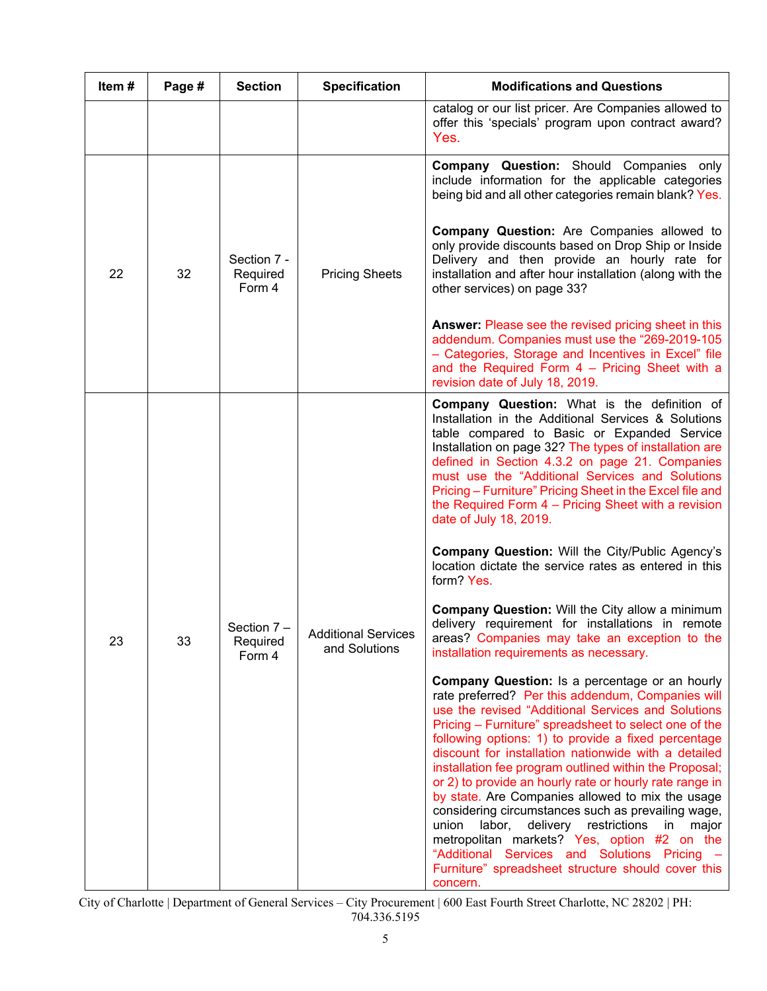| Item# | Page # | <b>Section</b>                                     | <b>Specification</b>                                                                                                                                                                                                                                                                                                                                                                                                                                                                                                                                                                                                                                                                                                                                                                              | <b>Modifications and Questions</b>                                                                                                                                                                                                                          |
|-------|--------|----------------------------------------------------|---------------------------------------------------------------------------------------------------------------------------------------------------------------------------------------------------------------------------------------------------------------------------------------------------------------------------------------------------------------------------------------------------------------------------------------------------------------------------------------------------------------------------------------------------------------------------------------------------------------------------------------------------------------------------------------------------------------------------------------------------------------------------------------------------|-------------------------------------------------------------------------------------------------------------------------------------------------------------------------------------------------------------------------------------------------------------|
|       |        |                                                    |                                                                                                                                                                                                                                                                                                                                                                                                                                                                                                                                                                                                                                                                                                                                                                                                   | catalog or our list pricer. Are Companies allowed to<br>offer this 'specials' program upon contract award?<br>Yes.                                                                                                                                          |
| 22    |        |                                                    |                                                                                                                                                                                                                                                                                                                                                                                                                                                                                                                                                                                                                                                                                                                                                                                                   | <b>Company Question:</b> Should Companies only<br>include information for the applicable categories<br>being bid and all other categories remain blank? Yes.                                                                                                |
|       | 32     | Section 7 -<br>Required<br>Form 4                  | <b>Pricing Sheets</b>                                                                                                                                                                                                                                                                                                                                                                                                                                                                                                                                                                                                                                                                                                                                                                             | <b>Company Question:</b> Are Companies allowed to<br>only provide discounts based on Drop Ship or Inside<br>Delivery and then provide an hourly rate for<br>installation and after hour installation (along with the<br>other services) on page 33?         |
|       |        |                                                    |                                                                                                                                                                                                                                                                                                                                                                                                                                                                                                                                                                                                                                                                                                                                                                                                   | <b>Answer: Please see the revised pricing sheet in this</b><br>addendum. Companies must use the "269-2019-105<br>- Categories, Storage and Incentives in Excel" file<br>and the Required Form $4$ – Pricing Sheet with a<br>revision date of July 18, 2019. |
|       |        |                                                    | <b>Company Question:</b> What is the definition of<br>Installation in the Additional Services & Solutions<br>table compared to Basic or Expanded Service<br>Installation on page 32? The types of installation are<br>defined in Section 4.3.2 on page 21. Companies<br>must use the "Additional Services and Solutions<br>Pricing - Furniture" Pricing Sheet in the Excel file and<br>the Required Form 4 - Pricing Sheet with a revision<br>date of July 18, 2019.                                                                                                                                                                                                                                                                                                                              |                                                                                                                                                                                                                                                             |
|       |        |                                                    | <b>Company Question: Will the City/Public Agency's</b><br>location dictate the service rates as entered in this<br>form? Yes.                                                                                                                                                                                                                                                                                                                                                                                                                                                                                                                                                                                                                                                                     |                                                                                                                                                                                                                                                             |
| 23    | 33     | Section 7 -<br>Required<br>and Solutions<br>Form 4 | <b>Additional Services</b>                                                                                                                                                                                                                                                                                                                                                                                                                                                                                                                                                                                                                                                                                                                                                                        | <b>Company Question: Will the City allow a minimum</b><br>delivery requirement for installations in remote<br>areas? Companies may take an exception to the<br>installation requirements as necessary.                                                      |
|       |        |                                                    | <b>Company Question:</b> Is a percentage or an hourly<br>rate preferred? Per this addendum, Companies will<br>use the revised "Additional Services and Solutions<br>Pricing - Furniture" spreadsheet to select one of the<br>following options: 1) to provide a fixed percentage<br>discount for installation nationwide with a detailed<br>installation fee program outlined within the Proposal;<br>or 2) to provide an hourly rate or hourly rate range in<br>by state. Are Companies allowed to mix the usage<br>considering circumstances such as prevailing wage,<br>delivery restrictions<br>union<br>labor,<br>in<br>major<br>metropolitan markets? Yes, option #2 on the<br>"Additional Services and Solutions Pricing<br>Furniture" spreadsheet structure should cover this<br>concern. |                                                                                                                                                                                                                                                             |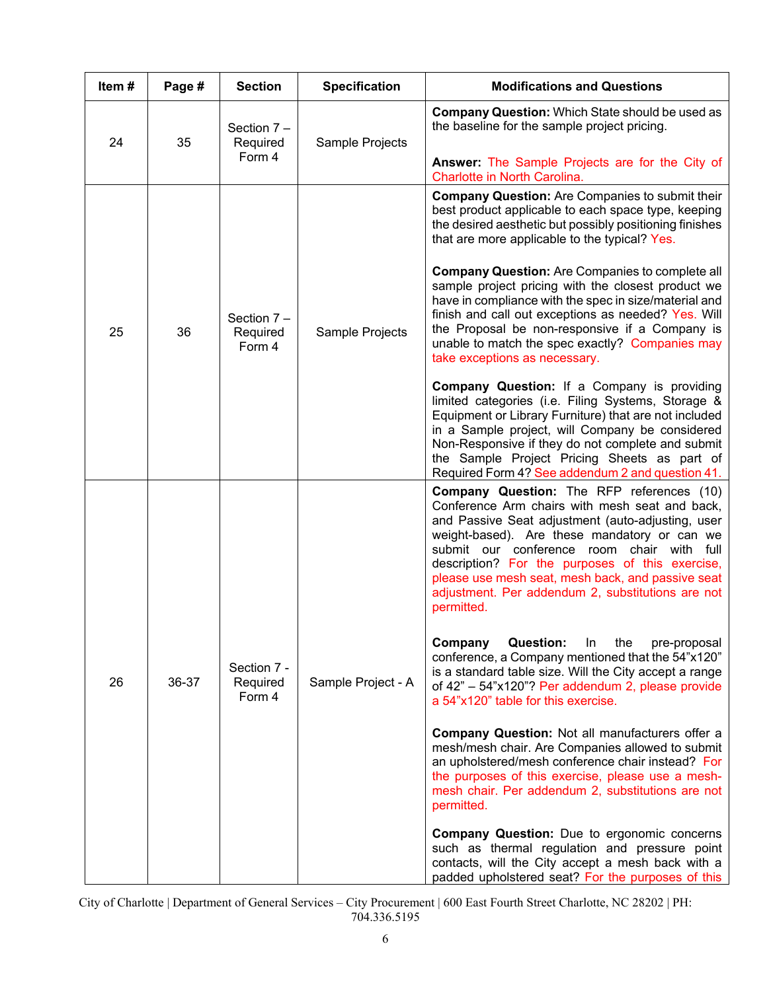| Item# | Page # | <b>Section</b>                      | <b>Specification</b> | <b>Modifications and Questions</b>                                                                                                                                                                                                                                                                                                                                                                                               |
|-------|--------|-------------------------------------|----------------------|----------------------------------------------------------------------------------------------------------------------------------------------------------------------------------------------------------------------------------------------------------------------------------------------------------------------------------------------------------------------------------------------------------------------------------|
| 24    | 35     | Section 7 -<br>Required             | Sample Projects      | <b>Company Question:</b> Which State should be used as<br>the baseline for the sample project pricing.                                                                                                                                                                                                                                                                                                                           |
|       |        | Form 4                              |                      | Answer: The Sample Projects are for the City of<br>Charlotte in North Carolina.                                                                                                                                                                                                                                                                                                                                                  |
|       |        |                                     |                      | <b>Company Question:</b> Are Companies to submit their<br>best product applicable to each space type, keeping<br>the desired aesthetic but possibly positioning finishes<br>that are more applicable to the typical? Yes.                                                                                                                                                                                                        |
| 25    | 36     | Section $7 -$<br>Required<br>Form 4 | Sample Projects      | <b>Company Question:</b> Are Companies to complete all<br>sample project pricing with the closest product we<br>have in compliance with the spec in size/material and<br>finish and call out exceptions as needed? Yes. Will<br>the Proposal be non-responsive if a Company is<br>unable to match the spec exactly? Companies may<br>take exceptions as necessary.                                                               |
|       |        |                                     |                      | <b>Company Question:</b> If a Company is providing<br>limited categories (i.e. Filing Systems, Storage &<br>Equipment or Library Furniture) that are not included<br>in a Sample project, will Company be considered<br>Non-Responsive if they do not complete and submit<br>the Sample Project Pricing Sheets as part of<br>Required Form 4? See addendum 2 and question 41.                                                    |
| 26    | 36-37  | Section 7 -<br>Required<br>Form 4   | Sample Project - A   | <b>Company Question:</b> The RFP references (10)<br>Conference Arm chairs with mesh seat and back,<br>and Passive Seat adjustment (auto-adjusting, user<br>weight-based). Are these mandatory or can we<br>submit our conference room chair with full<br>description? For the purposes of this exercise,<br>please use mesh seat, mesh back, and passive seat<br>adjustment. Per addendum 2, substitutions are not<br>permitted. |
|       |        |                                     |                      | Company<br><b>Question:</b><br>the<br>In.<br>pre-proposal<br>conference, a Company mentioned that the 54"x120"<br>is a standard table size. Will the City accept a range<br>of 42" - 54"x120"? Per addendum 2, please provide<br>a 54"x120" table for this exercise.                                                                                                                                                             |
|       |        |                                     |                      | <b>Company Question: Not all manufacturers offer a</b><br>mesh/mesh chair. Are Companies allowed to submit<br>an upholstered/mesh conference chair instead? For<br>the purposes of this exercise, please use a mesh-<br>mesh chair. Per addendum 2, substitutions are not<br>permitted.                                                                                                                                          |
|       |        |                                     |                      | <b>Company Question:</b> Due to ergonomic concerns<br>such as thermal regulation and pressure point<br>contacts, will the City accept a mesh back with a<br>padded upholstered seat? For the purposes of this                                                                                                                                                                                                                    |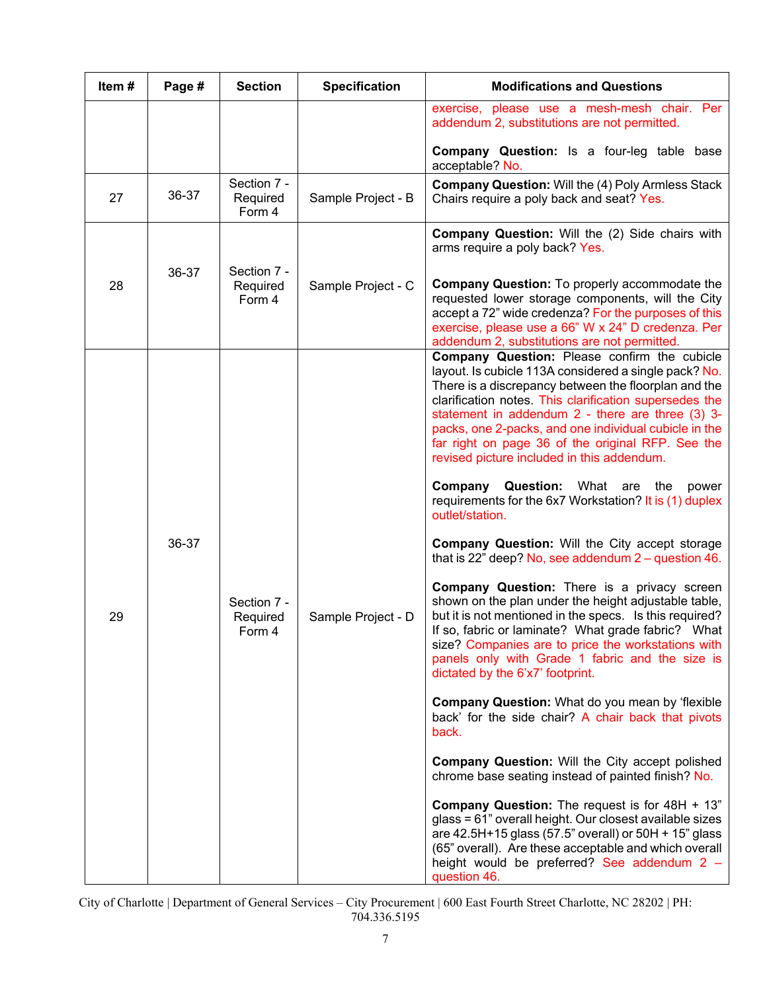| Item# | Page # | <b>Section</b>                    | <b>Specification</b> | <b>Modifications and Questions</b>                                                                                                                                                                                                                                                                                                                                                                                                      |
|-------|--------|-----------------------------------|----------------------|-----------------------------------------------------------------------------------------------------------------------------------------------------------------------------------------------------------------------------------------------------------------------------------------------------------------------------------------------------------------------------------------------------------------------------------------|
|       |        |                                   |                      | exercise, please use a mesh-mesh chair. Per<br>addendum 2, substitutions are not permitted.                                                                                                                                                                                                                                                                                                                                             |
|       |        |                                   |                      | <b>Company Question:</b> Is a four-leg table base<br>acceptable? No.                                                                                                                                                                                                                                                                                                                                                                    |
| 27    | 36-37  | Section 7 -<br>Required<br>Form 4 | Sample Project - B   | <b>Company Question: Will the (4) Poly Armless Stack</b><br>Chairs require a poly back and seat? Yes.                                                                                                                                                                                                                                                                                                                                   |
|       |        |                                   |                      | <b>Company Question:</b> Will the (2) Side chairs with<br>arms require a poly back? Yes.                                                                                                                                                                                                                                                                                                                                                |
| 28    | 36-37  | Section 7 -<br>Required<br>Form 4 | Sample Project - C   | <b>Company Question:</b> To properly accommodate the<br>requested lower storage components, will the City<br>accept a 72" wide credenza? For the purposes of this<br>exercise, please use a 66" W x 24" D credenza. Per<br>addendum 2, substitutions are not permitted.                                                                                                                                                                 |
|       |        |                                   |                      | Company Question: Please confirm the cubicle<br>layout. Is cubicle 113A considered a single pack? No.<br>There is a discrepancy between the floorplan and the<br>clarification notes. This clarification supersedes the<br>statement in addendum 2 - there are three (3) 3-<br>packs, one 2-packs, and one individual cubicle in the<br>far right on page 36 of the original RFP. See the<br>revised picture included in this addendum. |
|       |        |                                   |                      | <b>Company Question:</b> What are<br>the<br>power<br>requirements for the 6x7 Workstation? It is (1) duplex<br>outlet/station.                                                                                                                                                                                                                                                                                                          |
|       | 36-37  |                                   |                      | <b>Company Question: Will the City accept storage</b><br>that is 22" deep? No, see addendum $2 -$ question 46.                                                                                                                                                                                                                                                                                                                          |
| 29    |        | Section 7 -<br>Required<br>Form 4 | Sample Project - D   | <b>Company Question:</b> There is a privacy screen<br>shown on the plan under the height adjustable table,<br>but it is not mentioned in the specs. Is this required?<br>If so, fabric or laminate? What grade fabric? What<br>size? Companies are to price the workstations with<br>panels only with Grade 1 fabric and the size is<br>dictated by the 6'x7' footprint.                                                                |
|       |        |                                   |                      | <b>Company Question: What do you mean by 'flexible</b><br>back' for the side chair? A chair back that pivots<br>back.                                                                                                                                                                                                                                                                                                                   |
|       |        |                                   |                      | Company Question: Will the City accept polished<br>chrome base seating instead of painted finish? No.                                                                                                                                                                                                                                                                                                                                   |
|       |        |                                   |                      | Company Question: The request is for 48H + 13"<br>glass = 61" overall height. Our closest available sizes<br>are 42.5H+15 glass (57.5" overall) or 50H + 15" glass<br>(65" overall). Are these acceptable and which overall<br>height would be preferred? See addendum 2 -<br>question 46.                                                                                                                                              |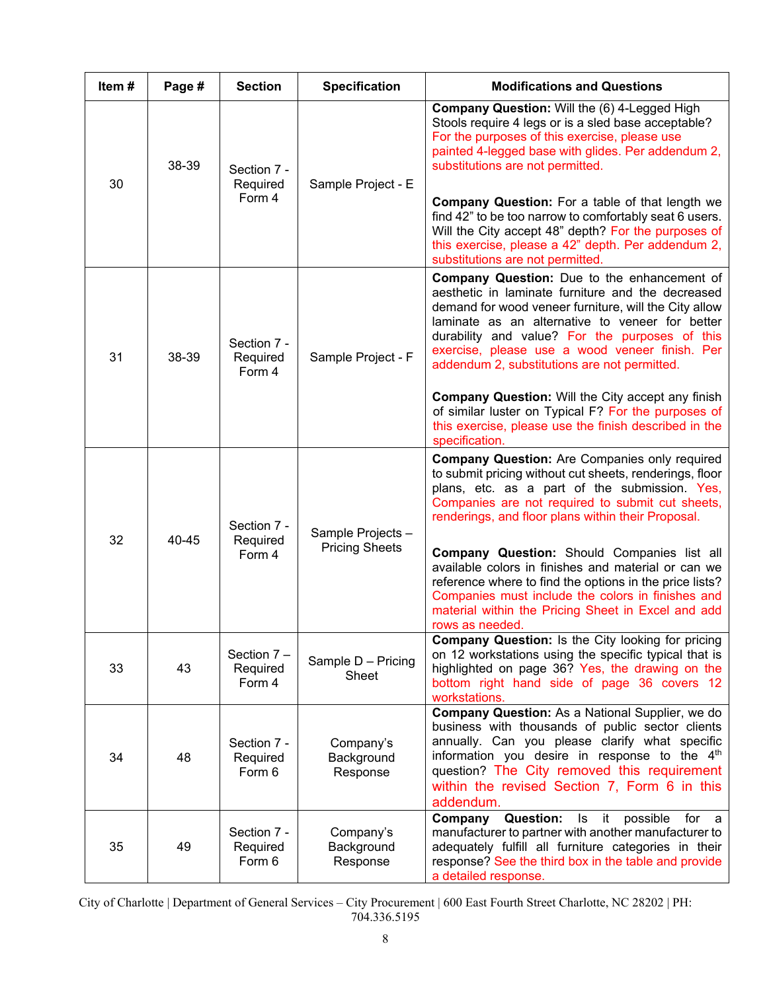| Item# | Page # | <b>Section</b>                      | <b>Specification</b>                | <b>Modifications and Questions</b>                                                                                                                                                                                                                                                                                                                               |
|-------|--------|-------------------------------------|-------------------------------------|------------------------------------------------------------------------------------------------------------------------------------------------------------------------------------------------------------------------------------------------------------------------------------------------------------------------------------------------------------------|
| 30    | 38-39  | Section 7 -<br>Required<br>Form 4   | Sample Project - E                  | Company Question: Will the (6) 4-Legged High<br>Stools require 4 legs or is a sled base acceptable?<br>For the purposes of this exercise, please use<br>painted 4-legged base with glides. Per addendum 2,<br>substitutions are not permitted.<br><b>Company Question:</b> For a table of that length we                                                         |
|       |        |                                     |                                     | find 42" to be too narrow to comfortably seat 6 users.<br>Will the City accept 48" depth? For the purposes of<br>this exercise, please a 42" depth. Per addendum 2,<br>substitutions are not permitted                                                                                                                                                           |
| 31    | 38-39  | Section 7 -<br>Required<br>Form 4   | Sample Project - F                  | Company Question: Due to the enhancement of<br>aesthetic in laminate furniture and the decreased<br>demand for wood veneer furniture, will the City allow<br>laminate as an alternative to veneer for better<br>durability and value? For the purposes of this<br>exercise, please use a wood veneer finish. Per<br>addendum 2, substitutions are not permitted. |
|       |        |                                     |                                     | <b>Company Question: Will the City accept any finish</b><br>of similar luster on Typical F? For the purposes of<br>this exercise, please use the finish described in the<br>specification.                                                                                                                                                                       |
| 32    | 40-45  | Section 7 -<br>Required             | Sample Projects -                   | <b>Company Question:</b> Are Companies only required<br>to submit pricing without cut sheets, renderings, floor<br>plans, etc. as a part of the submission. Yes,<br>Companies are not required to submit cut sheets,<br>renderings, and floor plans within their Proposal.                                                                                       |
|       |        | Form 4                              | <b>Pricing Sheets</b>               | Company Question: Should Companies list all<br>available colors in finishes and material or can we<br>reference where to find the options in the price lists?<br>Companies must include the colors in finishes and<br>material within the Pricing Sheet in Excel and add<br>rows as needed.                                                                      |
| 33    | 43     | Section $7 -$<br>Required<br>Form 4 | Sample D - Pricing<br>Sheet         | <b>Company Question: Is the City looking for pricing</b><br>on 12 workstations using the specific typical that is<br>highlighted on page 36? Yes, the drawing on the<br>bottom right hand side of page 36 covers 12<br>workstations.                                                                                                                             |
| 34    | 48     | Section 7 -<br>Required<br>Form 6   | Company's<br>Background<br>Response | Company Question: As a National Supplier, we do<br>business with thousands of public sector clients<br>annually. Can you please clarify what specific<br>information you desire in response to the 4 <sup>th</sup><br>question? The City removed this requirement<br>within the revised Section 7, Form 6 in this<br>addendum.                                   |
| 35    | 49     | Section 7 -<br>Required<br>Form 6   | Company's<br>Background<br>Response | <b>Question:</b><br>possible<br>Company<br>Is it<br>for a<br>manufacturer to partner with another manufacturer to<br>adequately fulfill all furniture categories in their<br>response? See the third box in the table and provide<br>a detailed response.                                                                                                        |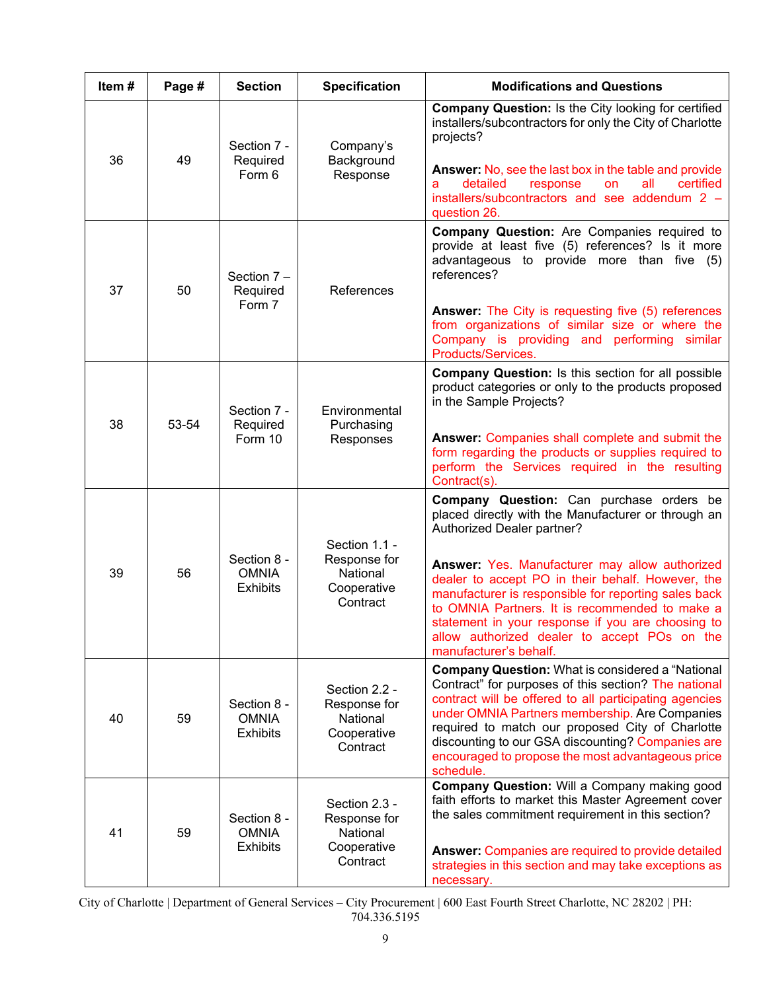| Item# | Page # | <b>Section</b>                                 | <b>Specification</b>                                                 | <b>Modifications and Questions</b>                                                                                                                                                                                                                                                                                                                                                                                                                                            |
|-------|--------|------------------------------------------------|----------------------------------------------------------------------|-------------------------------------------------------------------------------------------------------------------------------------------------------------------------------------------------------------------------------------------------------------------------------------------------------------------------------------------------------------------------------------------------------------------------------------------------------------------------------|
| 36    | 49     | Section 7 -<br>Required<br>Form 6              | Company's<br>Background<br>Response                                  | <b>Company Question: Is the City looking for certified</b><br>installers/subcontractors for only the City of Charlotte<br>projects?<br>Answer: No, see the last box in the table and provide<br>detailed<br>all<br>certified<br>response<br>on<br>a<br>installers/subcontractors and see addendum 2 -<br>question 26.                                                                                                                                                         |
| 37    | 50     | Section 7-<br>Required<br>Form 7               | References                                                           | Company Question: Are Companies required to<br>provide at least five (5) references? Is it more<br>advantageous to provide more than five (5)<br>references?<br><b>Answer:</b> The City is requesting five (5) references<br>from organizations of similar size or where the<br>Company is providing and performing similar<br>Products/Services.                                                                                                                             |
| 38    | 53-54  | Section 7 -<br>Required<br>Form 10             | Environmental<br>Purchasing<br>Responses                             | Company Question: Is this section for all possible<br>product categories or only to the products proposed<br>in the Sample Projects?<br>Answer: Companies shall complete and submit the<br>form regarding the products or supplies required to<br>perform the Services required in the resulting<br>Contract(s).                                                                                                                                                              |
| 39    | 56     | Section 8 -<br><b>OMNIA</b><br><b>Exhibits</b> | Section 1.1 -<br>Response for<br>National<br>Cooperative<br>Contract | Company Question: Can purchase orders be<br>placed directly with the Manufacturer or through an<br>Authorized Dealer partner?<br>Answer: Yes. Manufacturer may allow authorized<br>dealer to accept PO in their behalf. However, the<br>manufacturer is responsible for reporting sales back<br>to OMNIA Partners. It is recommended to make a<br>statement in your response if you are choosing to<br>allow authorized dealer to accept POs on the<br>manufacturer's behalf. |
| 40    | 59     | Section 8 -<br><b>OMNIA</b><br><b>Exhibits</b> | Section 2.2 -<br>Response for<br>National<br>Cooperative<br>Contract | <b>Company Question: What is considered a "National</b><br>Contract" for purposes of this section? The national<br>contract will be offered to all participating agencies<br>under OMNIA Partners membership. Are Companies<br>required to match our proposed City of Charlotte<br>discounting to our GSA discounting? Companies are<br>encouraged to propose the most advantageous price<br>schedule.                                                                        |
| 41    | 59     | Section 8 -<br><b>OMNIA</b><br><b>Exhibits</b> | Section 2.3 -<br>Response for<br>National<br>Cooperative<br>Contract | Company Question: Will a Company making good<br>faith efforts to market this Master Agreement cover<br>the sales commitment requirement in this section?<br>Answer: Companies are required to provide detailed<br>strategies in this section and may take exceptions as<br>necessary.                                                                                                                                                                                         |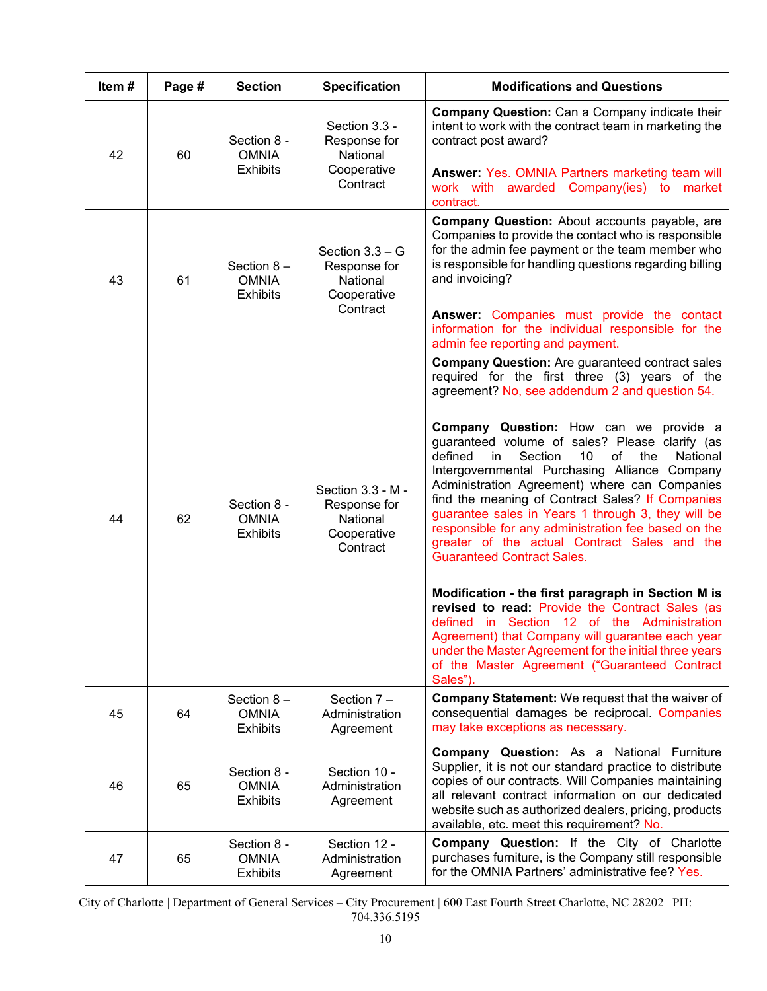| Item# | Page # | <b>Section</b>                                  | <b>Specification</b>                                                     | <b>Modifications and Questions</b>                                                                                                                                                                                                                                                                                                                                                                                                                                                                                                                                                                                                                                                                                                                                                                                                                                                                                                                                                                                     |
|-------|--------|-------------------------------------------------|--------------------------------------------------------------------------|------------------------------------------------------------------------------------------------------------------------------------------------------------------------------------------------------------------------------------------------------------------------------------------------------------------------------------------------------------------------------------------------------------------------------------------------------------------------------------------------------------------------------------------------------------------------------------------------------------------------------------------------------------------------------------------------------------------------------------------------------------------------------------------------------------------------------------------------------------------------------------------------------------------------------------------------------------------------------------------------------------------------|
| 42    | 60     | Section 8 -<br><b>OMNIA</b><br><b>Exhibits</b>  | Section 3.3 -<br>Response for<br>National<br>Cooperative<br>Contract     | <b>Company Question:</b> Can a Company indicate their<br>intent to work with the contract team in marketing the<br>contract post award?<br>Answer: Yes. OMNIA Partners marketing team will<br>work with awarded Company(ies) to market<br>contract.                                                                                                                                                                                                                                                                                                                                                                                                                                                                                                                                                                                                                                                                                                                                                                    |
| 43    | 61     | Section $8-$<br><b>OMNIA</b><br><b>Exhibits</b> | Section $3.3 - G$<br>Response for<br>National<br>Cooperative<br>Contract | Company Question: About accounts payable, are<br>Companies to provide the contact who is responsible<br>for the admin fee payment or the team member who<br>is responsible for handling questions regarding billing<br>and invoicing?<br>Answer: Companies must provide the contact<br>information for the individual responsible for the<br>admin fee reporting and payment.                                                                                                                                                                                                                                                                                                                                                                                                                                                                                                                                                                                                                                          |
| 44    | 62     | Section 8 -<br><b>OMNIA</b><br><b>Exhibits</b>  | Section 3.3 - M -<br>Response for<br>National<br>Cooperative<br>Contract | <b>Company Question:</b> Are guaranteed contract sales<br>required for the first three (3) years of the<br>agreement? No, see addendum 2 and question 54.<br><b>Company Question:</b> How can we<br>provide a<br>guaranteed volume of sales? Please clarify (as<br>defined<br>10<br>οf<br>National<br>Section<br>the<br>in.<br>Intergovernmental Purchasing Alliance Company<br>Administration Agreement) where can Companies<br>find the meaning of Contract Sales? If Companies<br>guarantee sales in Years 1 through 3, they will be<br>responsible for any administration fee based on the<br>greater of the actual Contract Sales and the<br><b>Guaranteed Contract Sales.</b><br>Modification - the first paragraph in Section M is<br>revised to read: Provide the Contract Sales (as<br>defined in Section 12 of the Administration<br>Agreement) that Company will guarantee each year<br>under the Master Agreement for the initial three years<br>of the Master Agreement ("Guaranteed Contract<br>Sales"). |
| 45    | 64     | Section $8-$<br><b>OMNIA</b><br><b>Exhibits</b> | Section 7-<br>Administration<br>Agreement                                | Company Statement: We request that the waiver of<br>consequential damages be reciprocal. Companies<br>may take exceptions as necessary.                                                                                                                                                                                                                                                                                                                                                                                                                                                                                                                                                                                                                                                                                                                                                                                                                                                                                |
| 46    | 65     | Section 8 -<br><b>OMNIA</b><br><b>Exhibits</b>  | Section 10 -<br>Administration<br>Agreement                              | <b>Company Question:</b> As a National Furniture<br>Supplier, it is not our standard practice to distribute<br>copies of our contracts. Will Companies maintaining<br>all relevant contract information on our dedicated<br>website such as authorized dealers, pricing, products<br>available, etc. meet this requirement? No.                                                                                                                                                                                                                                                                                                                                                                                                                                                                                                                                                                                                                                                                                        |
| 47    | 65     | Section 8 -<br><b>OMNIA</b><br><b>Exhibits</b>  | Section 12 -<br>Administration<br>Agreement                              | Company Question: If the City of Charlotte<br>purchases furniture, is the Company still responsible<br>for the OMNIA Partners' administrative fee? Yes.                                                                                                                                                                                                                                                                                                                                                                                                                                                                                                                                                                                                                                                                                                                                                                                                                                                                |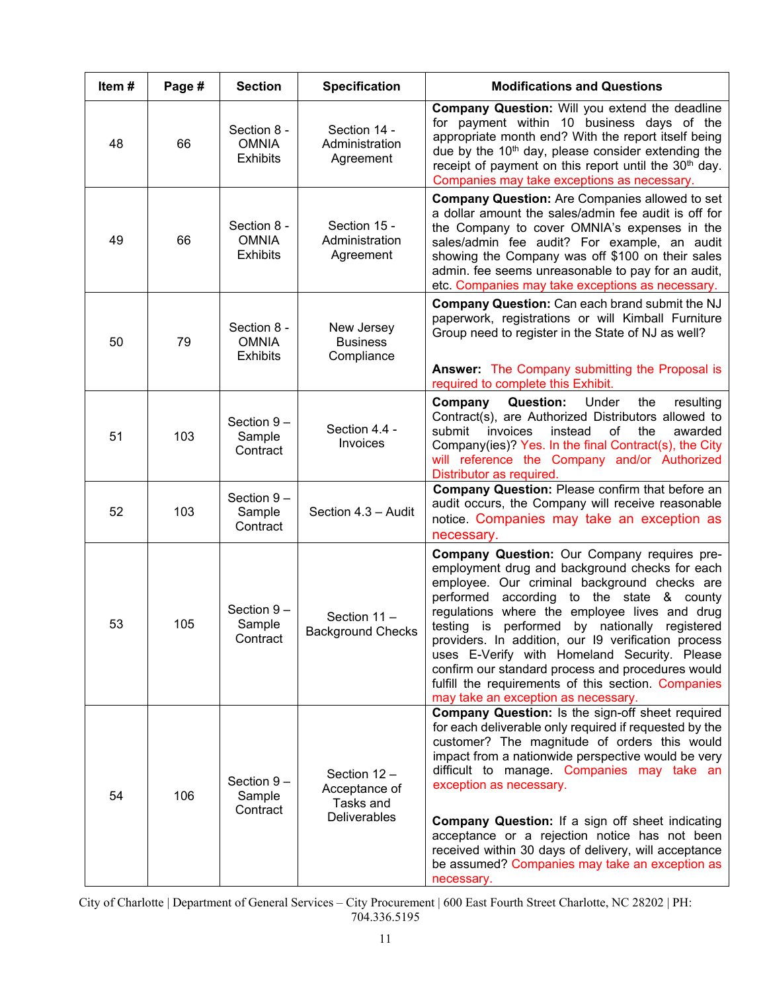| Item# | Page # | <b>Section</b>                                 | <b>Specification</b>                                              | <b>Modifications and Questions</b>                                                                                                                                                                                                                                                                                                                                                                                                                                                                                                                        |
|-------|--------|------------------------------------------------|-------------------------------------------------------------------|-----------------------------------------------------------------------------------------------------------------------------------------------------------------------------------------------------------------------------------------------------------------------------------------------------------------------------------------------------------------------------------------------------------------------------------------------------------------------------------------------------------------------------------------------------------|
| 48    | 66     | Section 8 -<br><b>OMNIA</b><br><b>Exhibits</b> | Section 14 -<br>Administration<br>Agreement                       | Company Question: Will you extend the deadline<br>for payment within 10 business days of the<br>appropriate month end? With the report itself being<br>due by the 10 <sup>th</sup> day, please consider extending the<br>receipt of payment on this report until the 30 <sup>th</sup> day.<br>Companies may take exceptions as necessary.                                                                                                                                                                                                                 |
| 49    | 66     | Section 8 -<br><b>OMNIA</b><br><b>Exhibits</b> | Section 15 -<br>Administration<br>Agreement                       | <b>Company Question:</b> Are Companies allowed to set<br>a dollar amount the sales/admin fee audit is off for<br>the Company to cover OMNIA's expenses in the<br>sales/admin fee audit? For example, an audit<br>showing the Company was off \$100 on their sales<br>admin. fee seems unreasonable to pay for an audit,<br>etc. Companies may take exceptions as necessary.                                                                                                                                                                               |
| 50    | 79     | Section 8 -<br><b>OMNIA</b><br><b>Exhibits</b> | New Jersey<br><b>Business</b><br>Compliance                       | <b>Company Question:</b> Can each brand submit the NJ<br>paperwork, registrations or will Kimball Furniture<br>Group need to register in the State of NJ as well?<br><b>Answer:</b> The Company submitting the Proposal is<br>required to complete this Exhibit.                                                                                                                                                                                                                                                                                          |
| 51    | 103    | Section $9-$<br>Sample<br>Contract             | Section 4.4 -<br>Invoices                                         | Company<br><b>Question:</b><br>Under<br>the<br>resulting<br>Contract(s), are Authorized Distributors allowed to<br>of<br>submit<br>invoices<br>instead<br>the<br>awarded<br>Company(ies)? Yes. In the final Contract(s), the City<br>will reference the Company and/or Authorized<br>Distributor as required.                                                                                                                                                                                                                                             |
| 52    | 103    | Section $9-$<br>Sample<br>Contract             | Section 4.3 - Audit                                               | Company Question: Please confirm that before an<br>audit occurs, the Company will receive reasonable<br>notice. Companies may take an exception as<br>necessary.                                                                                                                                                                                                                                                                                                                                                                                          |
| 53    | 105    | Section 9-<br>Sample<br>Contract               | Section 11-<br><b>Background Checks</b>                           | Company Question: Our Company requires pre-<br>employment drug and background checks for each<br>employee. Our criminal background checks are<br>performed<br>according to the state & county<br>regulations where the employee lives and drug<br>testing is performed by nationally registered<br>providers. In addition, our I9 verification process<br>uses E-Verify with Homeland Security. Please<br>confirm our standard process and procedures would<br>fulfill the requirements of this section. Companies<br>may take an exception as necessary. |
| 54    | 106    | Section 9-<br>Sample<br>Contract               | Section 12 -<br>Acceptance of<br>Tasks and<br><b>Deliverables</b> | Company Question: Is the sign-off sheet required<br>for each deliverable only required if requested by the<br>customer? The magnitude of orders this would<br>impact from a nationwide perspective would be very<br>difficult to manage. Companies may take an<br>exception as necessary.<br><b>Company Question:</b> If a sign off sheet indicating<br>acceptance or a rejection notice has not been<br>received within 30 days of delivery, will acceptance<br>be assumed? Companies may take an exception as<br>necessary.                             |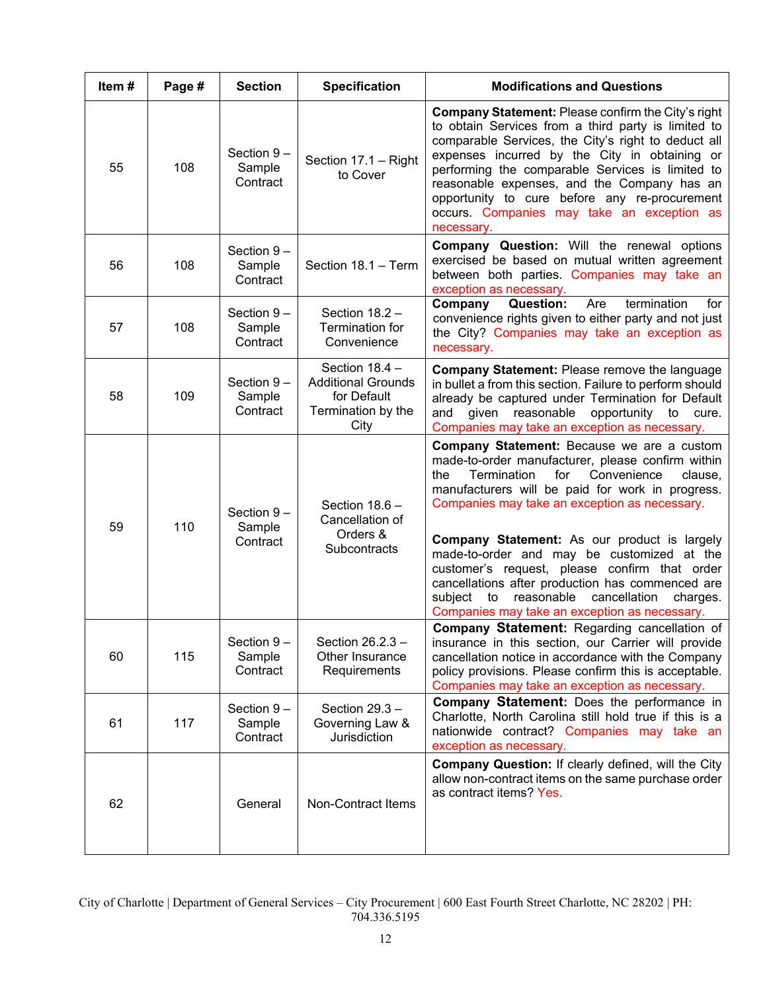| Item# | Page # | <b>Section</b>                      | <b>Specification</b>                                                                       | <b>Modifications and Questions</b>                                                                                                                                                                                                                                                                                                                                                                                                                                                                                                                                         |
|-------|--------|-------------------------------------|--------------------------------------------------------------------------------------------|----------------------------------------------------------------------------------------------------------------------------------------------------------------------------------------------------------------------------------------------------------------------------------------------------------------------------------------------------------------------------------------------------------------------------------------------------------------------------------------------------------------------------------------------------------------------------|
| 55    | 108    | Section 9-<br>Sample<br>Contract    | Section 17.1 - Right<br>to Cover                                                           | <b>Company Statement: Please confirm the City's right</b><br>to obtain Services from a third party is limited to<br>comparable Services, the City's right to deduct all<br>expenses incurred by the City in obtaining or<br>performing the comparable Services is limited to<br>reasonable expenses, and the Company has an<br>opportunity to cure before any re-procurement<br>occurs. Companies may take an exception as<br>necessary.                                                                                                                                   |
| 56    | 108    | Section $9 -$<br>Sample<br>Contract | Section 18.1 - Term                                                                        | <b>Company Question:</b> Will the renewal options<br>exercised be based on mutual written agreement<br>between both parties. Companies may take an<br>exception as necessary.                                                                                                                                                                                                                                                                                                                                                                                              |
| 57    | 108    | Section $9-$<br>Sample<br>Contract  | Section 18.2 -<br>Termination for<br>Convenience                                           | for<br>Company<br><b>Question:</b><br>Are<br>termination<br>convenience rights given to either party and not just<br>the City? Companies may take an exception as<br>necessary.                                                                                                                                                                                                                                                                                                                                                                                            |
| 58    | 109    | Section 9-<br>Sample<br>Contract    | Section $18.4 -$<br><b>Additional Grounds</b><br>for Default<br>Termination by the<br>City | <b>Company Statement: Please remove the language</b><br>in bullet a from this section. Failure to perform should<br>already be captured under Termination for Default<br>given reasonable<br>opportunity<br>and<br>to<br>cure.<br>Companies may take an exception as necessary.                                                                                                                                                                                                                                                                                            |
| 59    | 110    | Section 9-<br>Sample<br>Contract    | Section 18.6 -<br>Cancellation of<br>Orders &<br>Subcontracts                              | Company Statement: Because we are a custom<br>made-to-order manufacturer, please confirm within<br>Termination<br>for<br>Convenience<br>the<br>clause,<br>manufacturers will be paid for work in progress.<br>Companies may take an exception as necessary.<br>Company Statement: As our product is largely<br>made-to-order and may be customized at the<br>customer's request, please confirm that order<br>cancellations after production has commenced are<br>subject<br>reasonable<br>cancellation<br>to<br>charges.<br>Companies may take an exception as necessary. |
| 60    | 115    | Section $9-$<br>Sample<br>Contract  | Section 26.2.3 -<br>Other Insurance<br>Requirements                                        | Company Statement: Regarding cancellation of<br>insurance in this section, our Carrier will provide<br>cancellation notice in accordance with the Company<br>policy provisions. Please confirm this is acceptable.<br>Companies may take an exception as necessary.                                                                                                                                                                                                                                                                                                        |
| 61    | 117    | Section $9-$<br>Sample<br>Contract  | Section 29.3 -<br>Governing Law &<br>Jurisdiction                                          | Company Statement: Does the performance in<br>Charlotte, North Carolina still hold true if this is a<br>nationwide contract? Companies may take an<br>exception as necessary.                                                                                                                                                                                                                                                                                                                                                                                              |
| 62    |        | General                             | Non-Contract Items                                                                         | Company Question: If clearly defined, will the City<br>allow non-contract items on the same purchase order<br>as contract items? Yes.                                                                                                                                                                                                                                                                                                                                                                                                                                      |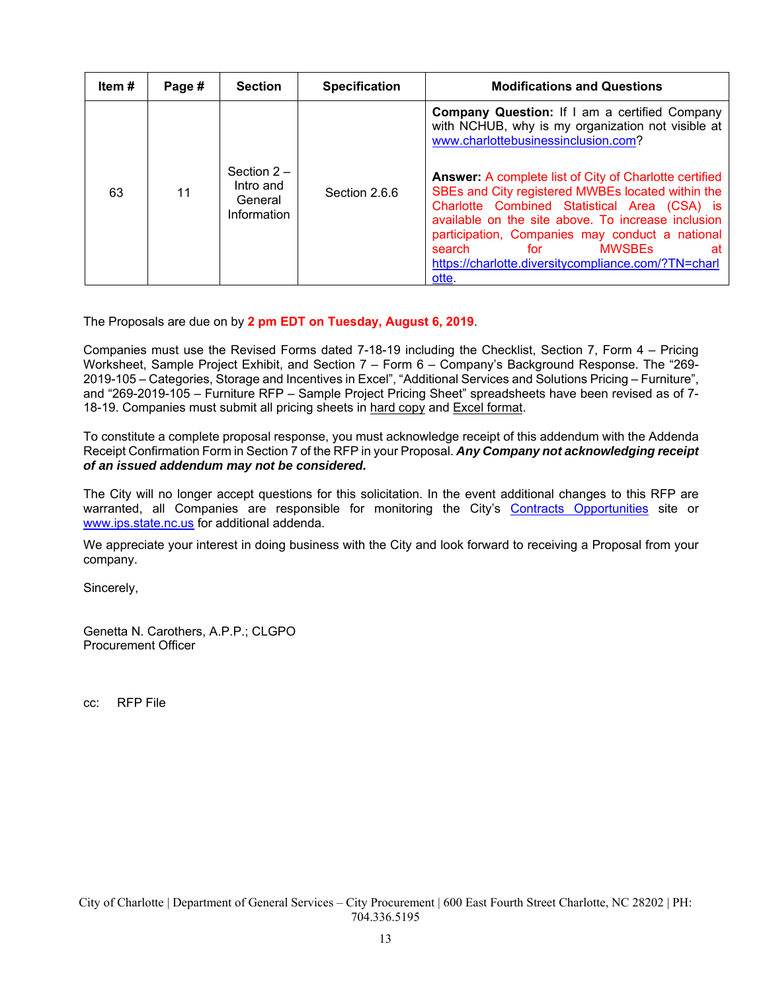| Item # | Page # | <b>Section</b>                                      | <b>Specification</b> | <b>Modifications and Questions</b>                                                                                                                                                                                                                                                                                                                                                                                                                                                                                               |
|--------|--------|-----------------------------------------------------|----------------------|----------------------------------------------------------------------------------------------------------------------------------------------------------------------------------------------------------------------------------------------------------------------------------------------------------------------------------------------------------------------------------------------------------------------------------------------------------------------------------------------------------------------------------|
| 63     | 11     | Section $2-$<br>Intro and<br>General<br>Information | Section 2.6.6        | Company Question: If I am a certified Company<br>with NCHUB, why is my organization not visible at<br>www.charlottebusinessinclusion.com?<br><b>Answer: A complete list of City of Charlotte certified</b><br>SBEs and City registered MWBEs located within the<br>Charlotte Combined Statistical Area (CSA) is<br>available on the site above. To increase inclusion<br>participation, Companies may conduct a national<br><b>MWSBEs</b><br>search<br>for<br>аt<br>https://charlotte.diversitycompliance.com/?TN=charl<br>otte. |

The Proposals are due on by **2 pm EDT on Tuesday, August 6, 2019**.

Companies must use the Revised Forms dated 7-18-19 including the Checklist, Section 7, Form 4 – Pricing Worksheet, Sample Project Exhibit, and Section 7 – Form 6 – Company's Background Response. The "269- 2019-105 – Categories, Storage and Incentives in Excel", "Additional Services and Solutions Pricing – Furniture", and "269-2019-105 – Furniture RFP – Sample Project Pricing Sheet" spreadsheets have been revised as of 7- 18-19. Companies must submit all pricing sheets in hard copy and Excel format.

To constitute a complete proposal response, you must acknowledge receipt of this addendum with the Addenda Receipt Confirmation Form in Section 7 of the RFP in your Proposal. *Any Company not acknowledging receipt of an issued addendum may not be considered.* 

The City will no longer accept questions for this solicitation. In the event additional changes to this RFP are warranted, all Companies are responsible for monitoring the City's [Contracts Opportunities](https://charlottenc.gov/DoingBusiness/Pages/SolicitationDetails.aspx?ID=1081) site or www.ips.state.nc.us for additional addenda.

We appreciate your interest in doing business with the City and look forward to receiving a Proposal from your company.

Sincerely,

Genetta N. Carothers, A.P.P.; CLGPO Procurement Officer

cc: RFP File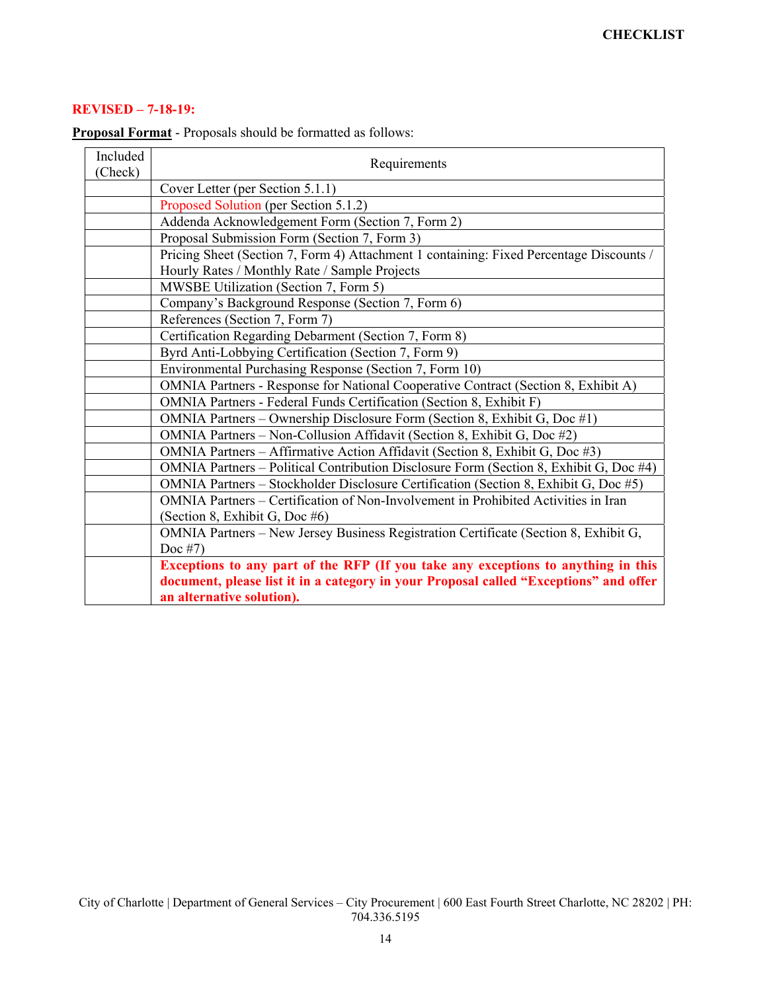## **REVISED – 7-18-19:**

| Included<br>(Check) | Requirements                                                                                                                                                                                            |  |  |  |  |  |  |  |  |
|---------------------|---------------------------------------------------------------------------------------------------------------------------------------------------------------------------------------------------------|--|--|--|--|--|--|--|--|
|                     | Cover Letter (per Section 5.1.1)                                                                                                                                                                        |  |  |  |  |  |  |  |  |
|                     | Proposed Solution (per Section 5.1.2)                                                                                                                                                                   |  |  |  |  |  |  |  |  |
|                     | Addenda Acknowledgement Form (Section 7, Form 2)                                                                                                                                                        |  |  |  |  |  |  |  |  |
|                     | Proposal Submission Form (Section 7, Form 3)                                                                                                                                                            |  |  |  |  |  |  |  |  |
|                     | Pricing Sheet (Section 7, Form 4) Attachment 1 containing: Fixed Percentage Discounts /<br>Hourly Rates / Monthly Rate / Sample Projects                                                                |  |  |  |  |  |  |  |  |
|                     | MWSBE Utilization (Section 7, Form 5)                                                                                                                                                                   |  |  |  |  |  |  |  |  |
|                     | Company's Background Response (Section 7, Form 6)                                                                                                                                                       |  |  |  |  |  |  |  |  |
|                     | References (Section 7, Form 7)                                                                                                                                                                          |  |  |  |  |  |  |  |  |
|                     | Certification Regarding Debarment (Section 7, Form 8)                                                                                                                                                   |  |  |  |  |  |  |  |  |
|                     | Byrd Anti-Lobbying Certification (Section 7, Form 9)                                                                                                                                                    |  |  |  |  |  |  |  |  |
|                     | Environmental Purchasing Response (Section 7, Form 10)                                                                                                                                                  |  |  |  |  |  |  |  |  |
|                     | OMNIA Partners - Response for National Cooperative Contract (Section 8, Exhibit A)                                                                                                                      |  |  |  |  |  |  |  |  |
|                     | OMNIA Partners - Federal Funds Certification (Section 8, Exhibit F)                                                                                                                                     |  |  |  |  |  |  |  |  |
|                     | OMNIA Partners – Ownership Disclosure Form (Section 8, Exhibit G, Doc #1)                                                                                                                               |  |  |  |  |  |  |  |  |
|                     | OMNIA Partners - Non-Collusion Affidavit (Section 8, Exhibit G, Doc #2)                                                                                                                                 |  |  |  |  |  |  |  |  |
|                     | OMNIA Partners - Affirmative Action Affidavit (Section 8, Exhibit G, Doc #3)                                                                                                                            |  |  |  |  |  |  |  |  |
|                     | OMNIA Partners – Political Contribution Disclosure Form (Section 8, Exhibit G, Doc #4)                                                                                                                  |  |  |  |  |  |  |  |  |
|                     | OMNIA Partners – Stockholder Disclosure Certification (Section 8, Exhibit G, Doc #5)                                                                                                                    |  |  |  |  |  |  |  |  |
|                     | OMNIA Partners – Certification of Non-Involvement in Prohibited Activities in Iran<br>(Section 8, Exhibit G, Doc #6)                                                                                    |  |  |  |  |  |  |  |  |
|                     | OMNIA Partners - New Jersey Business Registration Certificate (Section 8, Exhibit G,<br>Doc $#7$ )                                                                                                      |  |  |  |  |  |  |  |  |
|                     | Exceptions to any part of the RFP (If you take any exceptions to anything in this<br>document, please list it in a category in your Proposal called "Exceptions" and offer<br>an alternative solution). |  |  |  |  |  |  |  |  |

**Proposal Format** - Proposals should be formatted as follows: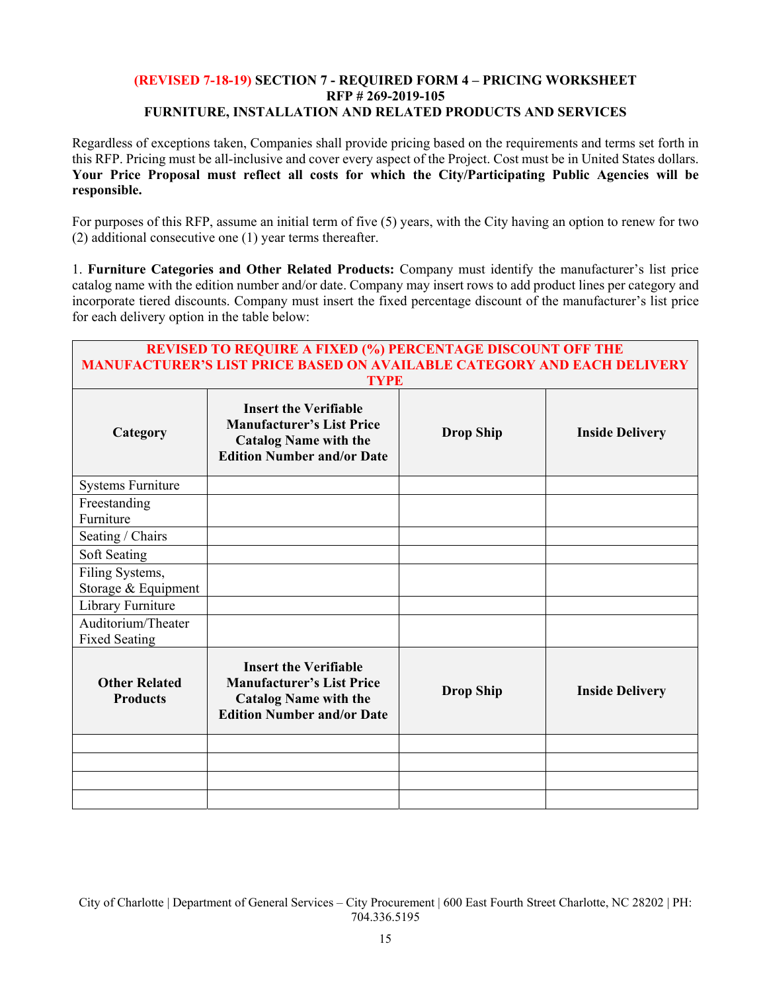### **(REVISED 7-18-19) SECTION 7 - REQUIRED FORM 4 – PRICING WORKSHEET RFP # 269-2019-105 FURNITURE, INSTALLATION AND RELATED PRODUCTS AND SERVICES**

Regardless of exceptions taken, Companies shall provide pricing based on the requirements and terms set forth in this RFP. Pricing must be all-inclusive and cover every aspect of the Project. Cost must be in United States dollars. **Your Price Proposal must reflect all costs for which the City/Participating Public Agencies will be responsible.** 

For purposes of this RFP, assume an initial term of five (5) years, with the City having an option to renew for two (2) additional consecutive one (1) year terms thereafter.

1. **Furniture Categories and Other Related Products:** Company must identify the manufacturer's list price catalog name with the edition number and/or date. Company may insert rows to add product lines per category and incorporate tiered discounts. Company must insert the fixed percentage discount of the manufacturer's list price for each delivery option in the table below:

| <b>REVISED TO REQUIRE A FIXED (%) PERCENTAGE DISCOUNT OFF THE</b><br><b>MANUFACTURER'S LIST PRICE BASED ON AVAILABLE CATEGORY AND EACH DELIVERY</b> |                                                                                                                                       |                  |                        |  |  |  |  |  |  |  |  |
|-----------------------------------------------------------------------------------------------------------------------------------------------------|---------------------------------------------------------------------------------------------------------------------------------------|------------------|------------------------|--|--|--|--|--|--|--|--|
| <b>TYPE</b>                                                                                                                                         |                                                                                                                                       |                  |                        |  |  |  |  |  |  |  |  |
| Category                                                                                                                                            | <b>Insert the Verifiable</b><br><b>Manufacturer's List Price</b><br><b>Catalog Name with the</b><br><b>Edition Number and/or Date</b> | <b>Drop Ship</b> | <b>Inside Delivery</b> |  |  |  |  |  |  |  |  |
| <b>Systems Furniture</b>                                                                                                                            |                                                                                                                                       |                  |                        |  |  |  |  |  |  |  |  |
| Freestanding<br>Furniture                                                                                                                           |                                                                                                                                       |                  |                        |  |  |  |  |  |  |  |  |
| Seating / Chairs                                                                                                                                    |                                                                                                                                       |                  |                        |  |  |  |  |  |  |  |  |
| Soft Seating                                                                                                                                        |                                                                                                                                       |                  |                        |  |  |  |  |  |  |  |  |
| Filing Systems,<br>Storage & Equipment                                                                                                              |                                                                                                                                       |                  |                        |  |  |  |  |  |  |  |  |
| Library Furniture                                                                                                                                   |                                                                                                                                       |                  |                        |  |  |  |  |  |  |  |  |
| Auditorium/Theater<br><b>Fixed Seating</b>                                                                                                          |                                                                                                                                       |                  |                        |  |  |  |  |  |  |  |  |
| <b>Other Related</b><br><b>Products</b>                                                                                                             | <b>Insert the Verifiable</b><br><b>Manufacturer's List Price</b><br><b>Catalog Name with the</b><br><b>Edition Number and/or Date</b> | <b>Drop Ship</b> | <b>Inside Delivery</b> |  |  |  |  |  |  |  |  |
|                                                                                                                                                     |                                                                                                                                       |                  |                        |  |  |  |  |  |  |  |  |
|                                                                                                                                                     |                                                                                                                                       |                  |                        |  |  |  |  |  |  |  |  |
|                                                                                                                                                     |                                                                                                                                       |                  |                        |  |  |  |  |  |  |  |  |
|                                                                                                                                                     |                                                                                                                                       |                  |                        |  |  |  |  |  |  |  |  |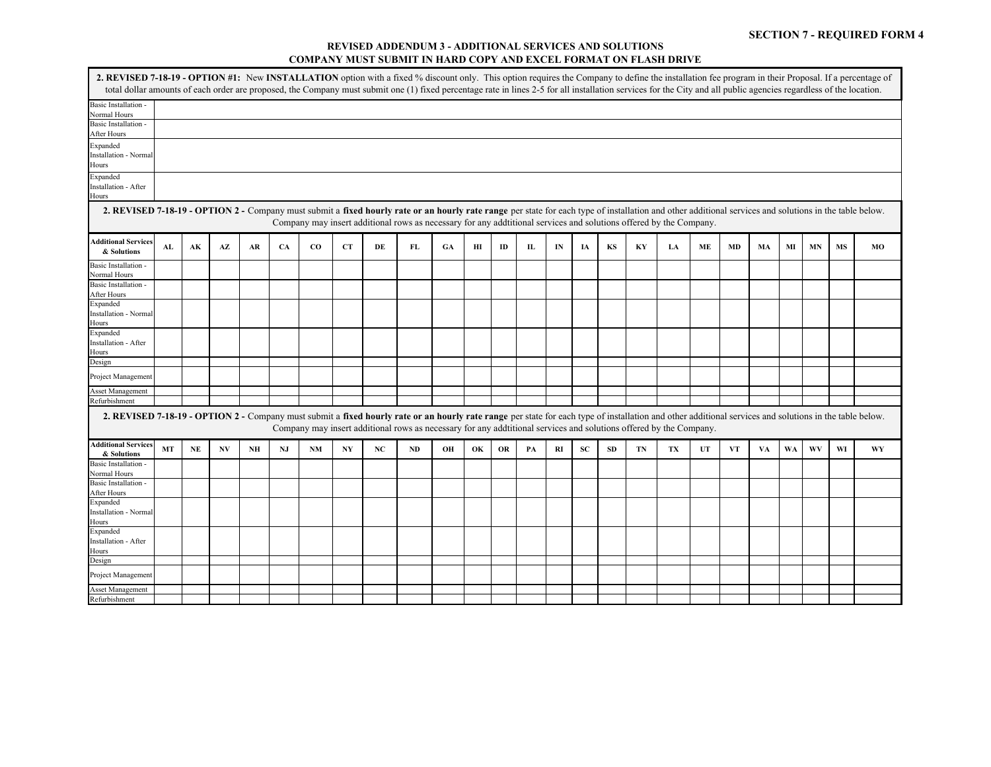#### **REVISED ADDENDUM 3 - ADDITIONAL SERVICES AND SOLUTIONS COMPANY MUST SUBMIT IN HARD COPY AND EXCEL FORMAT ON FLASH DRIVE**

| 2. REVISED 7-18-19 - OPTION #1: New INSTALLATION option with a fixed % discount only. This option requires the Company to define the installation fee program in their Proposal. If a percentage of<br>total dollar amounts of each order are proposed, the Company must submit one (1) fixed percentage rate in lines 2-5 for all installation services for the City and all public agencies regardless of the location. |    |          |    |    |    |             |           |    |                                                                                                                   |    |    |    |    |    |    |    |    |    |    |    |    |    |    |    |    |
|---------------------------------------------------------------------------------------------------------------------------------------------------------------------------------------------------------------------------------------------------------------------------------------------------------------------------------------------------------------------------------------------------------------------------|----|----------|----|----|----|-------------|-----------|----|-------------------------------------------------------------------------------------------------------------------|----|----|----|----|----|----|----|----|----|----|----|----|----|----|----|----|
| Basic Installation -                                                                                                                                                                                                                                                                                                                                                                                                      |    |          |    |    |    |             |           |    |                                                                                                                   |    |    |    |    |    |    |    |    |    |    |    |    |    |    |    |    |
| Normal Hours                                                                                                                                                                                                                                                                                                                                                                                                              |    |          |    |    |    |             |           |    |                                                                                                                   |    |    |    |    |    |    |    |    |    |    |    |    |    |    |    |    |
| Basic Installation -                                                                                                                                                                                                                                                                                                                                                                                                      |    |          |    |    |    |             |           |    |                                                                                                                   |    |    |    |    |    |    |    |    |    |    |    |    |    |    |    |    |
| After Hours                                                                                                                                                                                                                                                                                                                                                                                                               |    |          |    |    |    |             |           |    |                                                                                                                   |    |    |    |    |    |    |    |    |    |    |    |    |    |    |    |    |
| Expanded                                                                                                                                                                                                                                                                                                                                                                                                                  |    |          |    |    |    |             |           |    |                                                                                                                   |    |    |    |    |    |    |    |    |    |    |    |    |    |    |    |    |
| Installation - Norma                                                                                                                                                                                                                                                                                                                                                                                                      |    |          |    |    |    |             |           |    |                                                                                                                   |    |    |    |    |    |    |    |    |    |    |    |    |    |    |    |    |
| Hours                                                                                                                                                                                                                                                                                                                                                                                                                     |    |          |    |    |    |             |           |    |                                                                                                                   |    |    |    |    |    |    |    |    |    |    |    |    |    |    |    |    |
| Expanded                                                                                                                                                                                                                                                                                                                                                                                                                  |    |          |    |    |    |             |           |    |                                                                                                                   |    |    |    |    |    |    |    |    |    |    |    |    |    |    |    |    |
| Installation - After                                                                                                                                                                                                                                                                                                                                                                                                      |    |          |    |    |    |             |           |    |                                                                                                                   |    |    |    |    |    |    |    |    |    |    |    |    |    |    |    |    |
| Hours                                                                                                                                                                                                                                                                                                                                                                                                                     |    |          |    |    |    |             |           |    |                                                                                                                   |    |    |    |    |    |    |    |    |    |    |    |    |    |    |    |    |
| 2. REVISED 7-18-19 - OPTION 2 - Company must submit a fixed hourly rate or an hourly rate range per state for each type of installation and other additional services and solutions in the table below.                                                                                                                                                                                                                   |    |          |    |    |    |             |           |    | Company may insert additional rows as necessary for any additional services and solutions offered by the Company. |    |    |    |    |    |    |    |    |    |    |    |    |    |    |    |    |
| <b>Additional Services</b><br>& Solutions                                                                                                                                                                                                                                                                                                                                                                                 | AL | AK       | AZ | AR | CA | $_{\rm CO}$ | <b>CT</b> | DE | FL                                                                                                                | GA | ΗΙ | ID | Ш  | IN | IA | KS | KY | LA | ME | MD | MA | MI | MN | MS | MO |
| <b>Basic Installation -</b>                                                                                                                                                                                                                                                                                                                                                                                               |    |          |    |    |    |             |           |    |                                                                                                                   |    |    |    |    |    |    |    |    |    |    |    |    |    |    |    |    |
| <b>Normal Hours</b>                                                                                                                                                                                                                                                                                                                                                                                                       |    |          |    |    |    |             |           |    |                                                                                                                   |    |    |    |    |    |    |    |    |    |    |    |    |    |    |    |    |
| Basic Installation -                                                                                                                                                                                                                                                                                                                                                                                                      |    |          |    |    |    |             |           |    |                                                                                                                   |    |    |    |    |    |    |    |    |    |    |    |    |    |    |    |    |
| After Hours                                                                                                                                                                                                                                                                                                                                                                                                               |    |          |    |    |    |             |           |    |                                                                                                                   |    |    |    |    |    |    |    |    |    |    |    |    |    |    |    |    |
| Expanded<br>Installation - Norma                                                                                                                                                                                                                                                                                                                                                                                          |    |          |    |    |    |             |           |    |                                                                                                                   |    |    |    |    |    |    |    |    |    |    |    |    |    |    |    |    |
| Hours                                                                                                                                                                                                                                                                                                                                                                                                                     |    |          |    |    |    |             |           |    |                                                                                                                   |    |    |    |    |    |    |    |    |    |    |    |    |    |    |    |    |
| Expanded                                                                                                                                                                                                                                                                                                                                                                                                                  |    |          |    |    |    |             |           |    |                                                                                                                   |    |    |    |    |    |    |    |    |    |    |    |    |    |    |    |    |
| Installation - After                                                                                                                                                                                                                                                                                                                                                                                                      |    |          |    |    |    |             |           |    |                                                                                                                   |    |    |    |    |    |    |    |    |    |    |    |    |    |    |    |    |
| Hours                                                                                                                                                                                                                                                                                                                                                                                                                     |    |          |    |    |    |             |           |    |                                                                                                                   |    |    |    |    |    |    |    |    |    |    |    |    |    |    |    |    |
| Design                                                                                                                                                                                                                                                                                                                                                                                                                    |    |          |    |    |    |             |           |    |                                                                                                                   |    |    |    |    |    |    |    |    |    |    |    |    |    |    |    |    |
| Project Managemen                                                                                                                                                                                                                                                                                                                                                                                                         |    |          |    |    |    |             |           |    |                                                                                                                   |    |    |    |    |    |    |    |    |    |    |    |    |    |    |    |    |
| <b>Asset Management</b>                                                                                                                                                                                                                                                                                                                                                                                                   |    |          |    |    |    |             |           |    |                                                                                                                   |    |    |    |    |    |    |    |    |    |    |    |    |    |    |    |    |
| Refurbishment                                                                                                                                                                                                                                                                                                                                                                                                             |    |          |    |    |    |             |           |    |                                                                                                                   |    |    |    |    |    |    |    |    |    |    |    |    |    |    |    |    |
| 2. REVISED 7-18-19 - OPTION 2 - Company must submit a fixed hourly rate or an hourly rate range per state for each type of installation and other additional services and solutions in the table below.                                                                                                                                                                                                                   |    |          |    |    |    |             |           |    | Company may insert additional rows as necessary for any additional services and solutions offered by the Company. |    |    |    |    |    |    |    |    |    |    |    |    |    |    |    |    |
| <b>Additional Services</b><br>& Solutions                                                                                                                                                                                                                                                                                                                                                                                 | MT | $\bf NE$ | NV | NH | NJ | <b>NM</b>   | NY        | NC | <b>ND</b>                                                                                                         | OН | OK | OR | PA | RI | SC | SD | TN | TX | UT | VT | VA | WA | WV | WI | WY |
| Basic Installation -                                                                                                                                                                                                                                                                                                                                                                                                      |    |          |    |    |    |             |           |    |                                                                                                                   |    |    |    |    |    |    |    |    |    |    |    |    |    |    |    |    |
| <b>Normal Hours</b>                                                                                                                                                                                                                                                                                                                                                                                                       |    |          |    |    |    |             |           |    |                                                                                                                   |    |    |    |    |    |    |    |    |    |    |    |    |    |    |    |    |
| Basic Installation -                                                                                                                                                                                                                                                                                                                                                                                                      |    |          |    |    |    |             |           |    |                                                                                                                   |    |    |    |    |    |    |    |    |    |    |    |    |    |    |    |    |
| After Hours                                                                                                                                                                                                                                                                                                                                                                                                               |    |          |    |    |    |             |           |    |                                                                                                                   |    |    |    |    |    |    |    |    |    |    |    |    |    |    |    |    |
| Expanded                                                                                                                                                                                                                                                                                                                                                                                                                  |    |          |    |    |    |             |           |    |                                                                                                                   |    |    |    |    |    |    |    |    |    |    |    |    |    |    |    |    |
| <b>Installation - Norma</b>                                                                                                                                                                                                                                                                                                                                                                                               |    |          |    |    |    |             |           |    |                                                                                                                   |    |    |    |    |    |    |    |    |    |    |    |    |    |    |    |    |
| Hours                                                                                                                                                                                                                                                                                                                                                                                                                     |    |          |    |    |    |             |           |    |                                                                                                                   |    |    |    |    |    |    |    |    |    |    |    |    |    |    |    |    |
| Expanded                                                                                                                                                                                                                                                                                                                                                                                                                  |    |          |    |    |    |             |           |    |                                                                                                                   |    |    |    |    |    |    |    |    |    |    |    |    |    |    |    |    |
| <b>Installation - After</b>                                                                                                                                                                                                                                                                                                                                                                                               |    |          |    |    |    |             |           |    |                                                                                                                   |    |    |    |    |    |    |    |    |    |    |    |    |    |    |    |    |
| Hours                                                                                                                                                                                                                                                                                                                                                                                                                     |    |          |    |    |    |             |           |    |                                                                                                                   |    |    |    |    |    |    |    |    |    |    |    |    |    |    |    |    |
| Design                                                                                                                                                                                                                                                                                                                                                                                                                    |    |          |    |    |    |             |           |    |                                                                                                                   |    |    |    |    |    |    |    |    |    |    |    |    |    |    |    |    |
| Project Management                                                                                                                                                                                                                                                                                                                                                                                                        |    |          |    |    |    |             |           |    |                                                                                                                   |    |    |    |    |    |    |    |    |    |    |    |    |    |    |    |    |
| <b>Asset Management</b>                                                                                                                                                                                                                                                                                                                                                                                                   |    |          |    |    |    |             |           |    |                                                                                                                   |    |    |    |    |    |    |    |    |    |    |    |    |    |    |    |    |
| Refurbishment                                                                                                                                                                                                                                                                                                                                                                                                             |    |          |    |    |    |             |           |    |                                                                                                                   |    |    |    |    |    |    |    |    |    |    |    |    |    |    |    |    |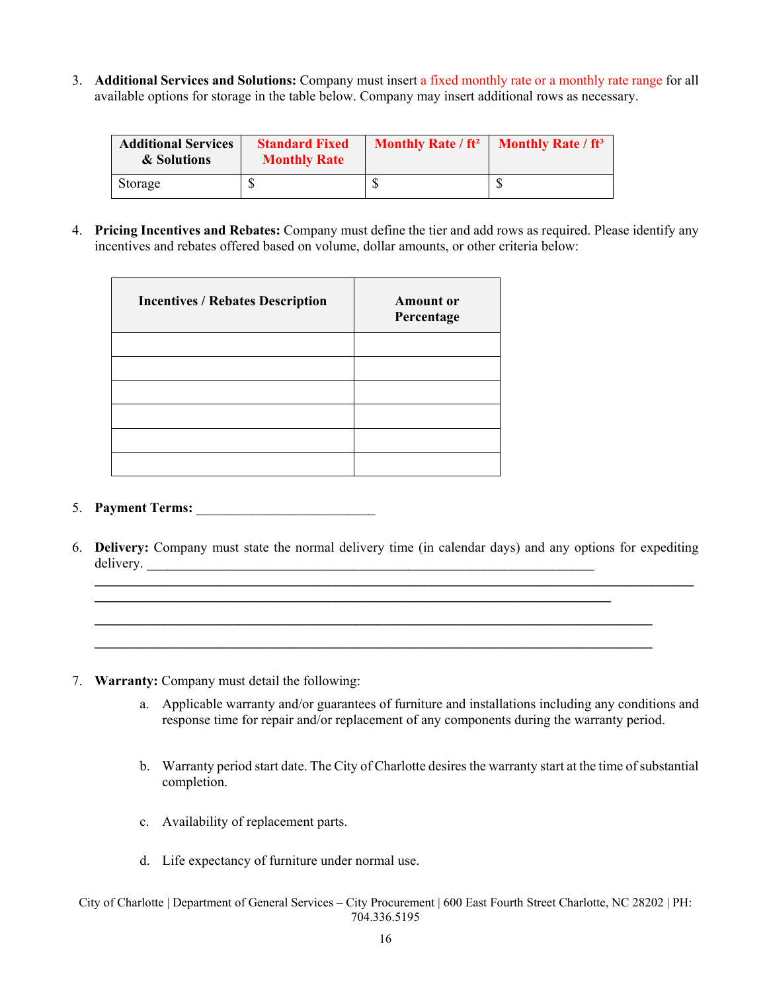3. **Additional Services and Solutions:** Company must insert a fixed monthly rate or a monthly rate range for all available options for storage in the table below. Company may insert additional rows as necessary.

| <b>Additional Services</b><br>& Solutions | <b>Standard Fixed</b><br><b>Monthly Rate</b> | <b>Monthly Rate / ft<sup>2</sup></b> | <b>Monthly Rate / ft<sup>3</sup></b> |
|-------------------------------------------|----------------------------------------------|--------------------------------------|--------------------------------------|
| Storage                                   | ¢<br>J                                       |                                      |                                      |

4. **Pricing Incentives and Rebates:** Company must define the tier and add rows as required. Please identify any incentives and rebates offered based on volume, dollar amounts, or other criteria below:

| <b>Incentives / Rebates Description</b> | <b>Amount</b> or<br>Percentage |
|-----------------------------------------|--------------------------------|
|                                         |                                |
|                                         |                                |
|                                         |                                |
|                                         |                                |
|                                         |                                |
|                                         |                                |

### 5. **Payment Terms:**

6. **Delivery:** Company must state the normal delivery time (in calendar days) and any options for expediting delivery.

**\_\_\_\_\_\_\_\_\_\_\_\_\_\_\_\_\_\_\_\_\_\_\_\_\_\_\_\_\_\_\_\_\_\_\_\_\_\_\_\_\_\_\_\_\_\_\_\_\_\_\_\_\_\_\_\_\_\_\_\_\_\_\_\_\_\_\_\_\_\_\_\_\_\_\_\_\_\_\_\_\_ \_\_\_\_\_\_\_\_\_\_\_\_\_\_\_\_\_\_\_\_\_\_\_\_\_\_\_\_\_\_\_\_\_\_\_\_\_\_\_\_\_\_\_\_\_\_\_\_\_\_\_\_\_\_\_\_\_\_\_\_\_\_\_\_\_\_\_\_\_\_\_\_\_\_\_\_\_\_\_\_\_**

- 7. **Warranty:** Company must detail the following:
	- a. Applicable warranty and/or guarantees of furniture and installations including any conditions and response time for repair and/or replacement of any components during the warranty period.
	- b. Warranty period start date. The City of Charlotte desires the warranty start at the time of substantial completion.
	- c. Availability of replacement parts.
	- d. Life expectancy of furniture under normal use.
- City of Charlotte | Department of General Services City Procurement | 600 East Fourth Street Charlotte, NC 28202 | PH: 704.336.5195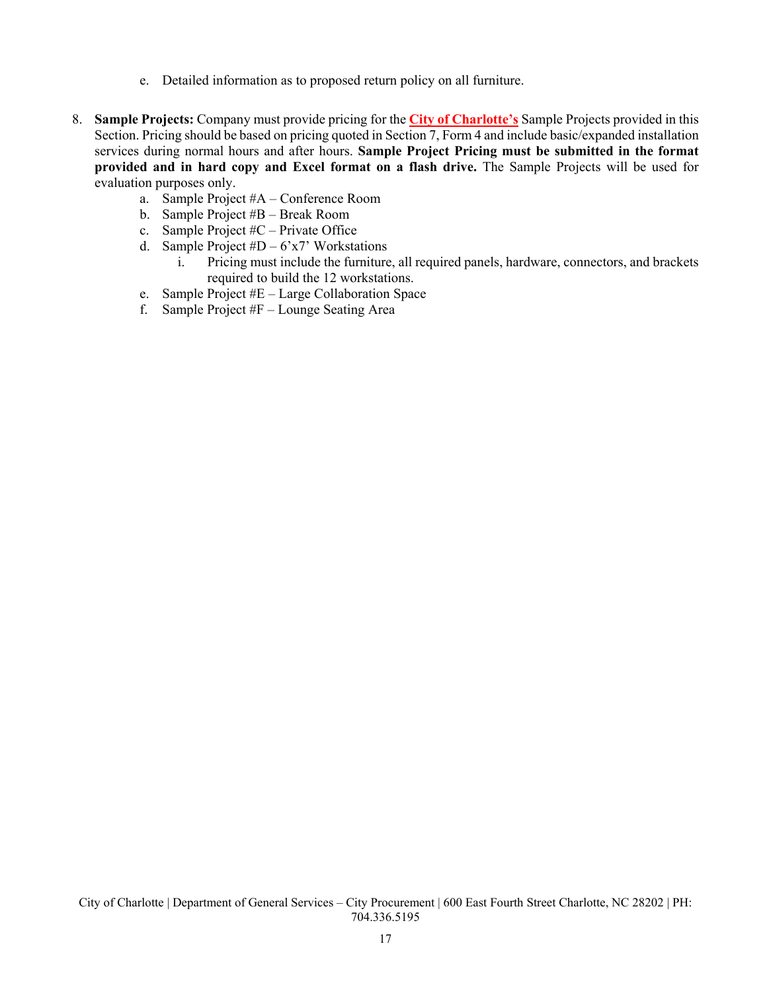- e. Detailed information as to proposed return policy on all furniture.
- 8. **Sample Projects:** Company must provide pricing for the **City of Charlotte's** Sample Projects provided in this Section. Pricing should be based on pricing quoted in Section 7, Form 4 and include basic/expanded installation services during normal hours and after hours. **Sample Project Pricing must be submitted in the format provided and in hard copy and Excel format on a flash drive.** The Sample Projects will be used for evaluation purposes only.
	- a. Sample Project #A Conference Room
	- b. Sample Project #B Break Room
	- c. Sample Project #C Private Office
	- d. Sample Project  $#D 6x7$ ' Workstations
		- i. Pricing must include the furniture, all required panels, hardware, connectors, and brackets required to build the 12 workstations.
	- e. Sample Project #E Large Collaboration Space
	- f. Sample Project #F Lounge Seating Area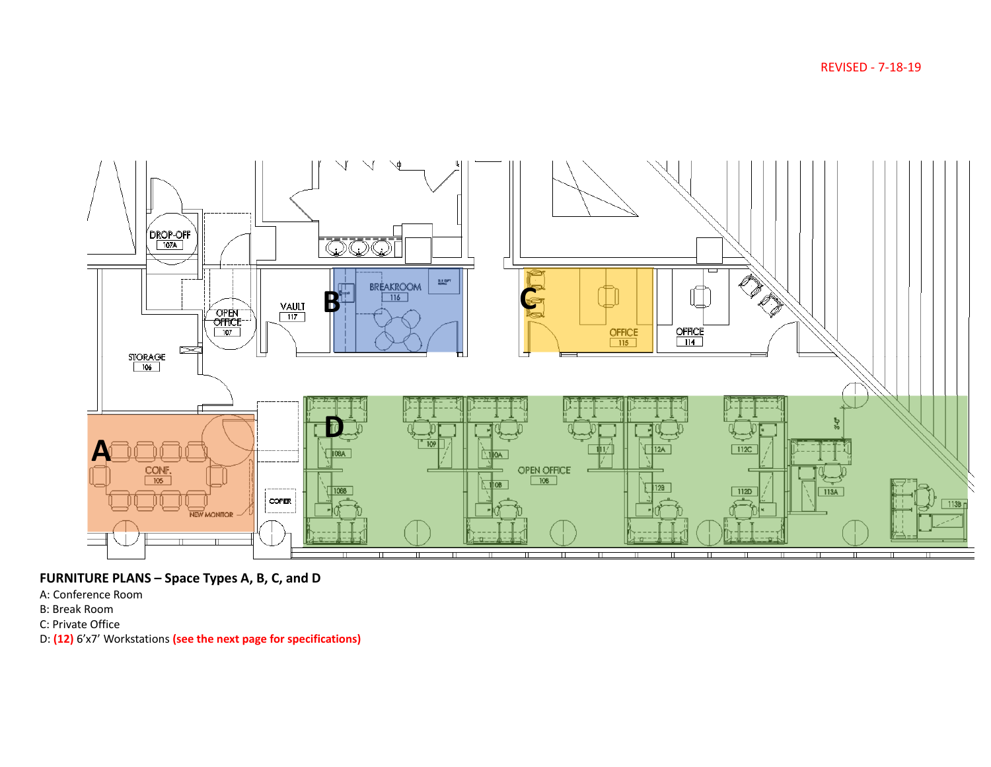REVISED - 7-18-19



**FURNITURE PLANS – Space Types A, B, C, and D**

- A: Conference Room
- B: Break Room
- C: Private Office
- D: **(12)** 6'x7' Workstations **(see the next page for specifications)**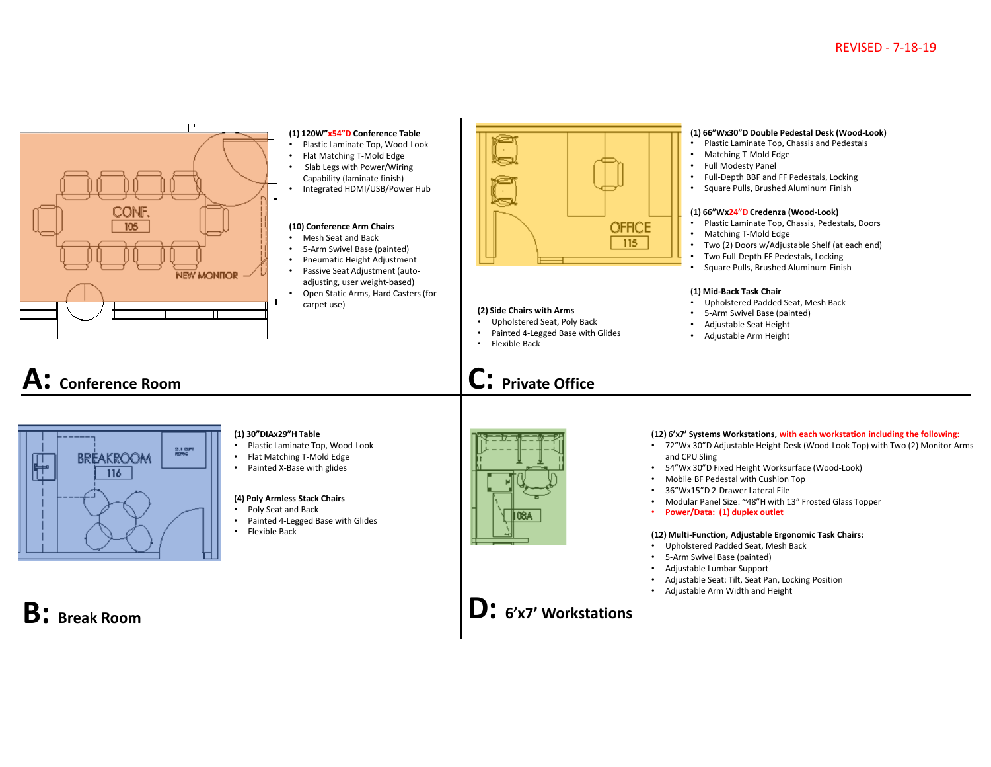

- 5‐Arm Swivel Base (painted)
- Pneumatic Height Adjustment
- Passive Seat Adjustment (auto‐
- adjusting, user weight‐based)
- Open Static Arms, Hard Casters (for carpet use)





#### **(1) 30"DIAx29"H Table**

- Plastic Laminate Top, Wood‐Look
- Flat Matching T‐Mold Edge
- Painted X‐Base with glides

#### **(4) Poly Armless Stack Chairs**

- Poly Seat and Back
- Painted 4‐Legged Base with Glides •
- Flexible Back



## **C: Private Office**



#### **(12) 6'x7' Systems Workstations, with each workstation including the following:**

- 72"Wx 30"D Adjustable Height Desk (Wood‐Look Top) with Two (2) Monitor Arms and CPU Sling
- •
- •Mobile BF Pedestal with Cushion Top
- 36"Wx15"D 2‐Drawer Lateral File
- Modular Panel Size: ~48"H with 13" Frosted Glass Topper
- **Power/Data: (1) duplex outlet**

#### **(12) Multi‐Function, Adjustable Ergonomic Task Chairs:**

- Upholstered Padded Seat, Mesh Back
- •5‐Arm Swivel Base (painted)
- •
- •Adjustable Seat: Tilt, Seat Pan, Locking Position
- Adjustable Arm Width and Height

## **B: Break Room**



#### **(1) 66"Wx30"D Double Pedestal Desk (Wood‐Look)**

- Plastic Laminate Top, Chassis and Pedestals
- •Matching T‐Mold Edge
- Full Modesty Panel
- Full‐Depth BBF and FF Pedestals, Locking
- Square Pulls, Brushed Aluminum Finish

#### **(1) 66"Wx24"D Credenza (Wood‐Look)**

- Plastic Laminate Top, Chassis, Pedestals, Doors
- Matching T‐Mold Edge
- •Two (2) Doors w/Adjustable Shelf (at each end)
- •Two Full‐Depth FF Pedestals, Locking
- •Square Pulls, Brushed Aluminum Finish

#### **(1) Mid‐Back Task Chair**

- Upholstered Padded Seat, Mesh Back
- 5‐Arm Swivel Base (painted)
- Adjustable Seat Height
- Adjustable Arm Height

- - 54"Wx 30"D Fixed Height Worksurface (Wood‐Look)
	-
	-
	- •
	-

## •

- 
- 
- Adjustable Lumbar Support
- 
-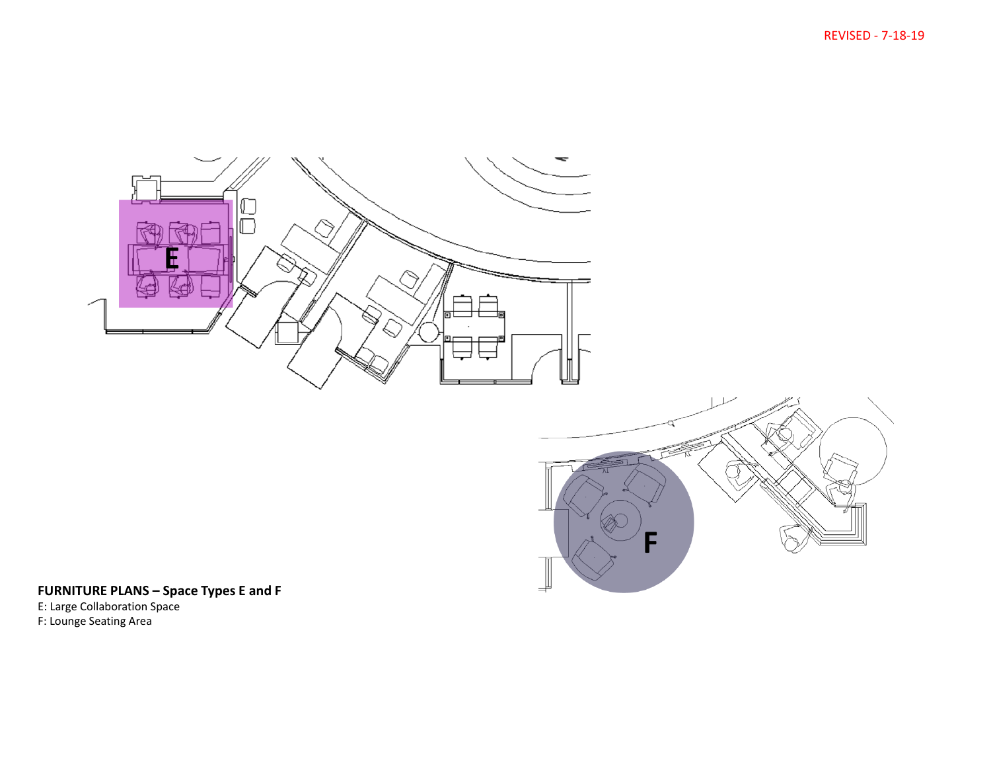REVISED - 7-18-19





## **FURNITURE PLANS – Space Types E and F**

E: Large Collaboration Space F: Lounge Seating Area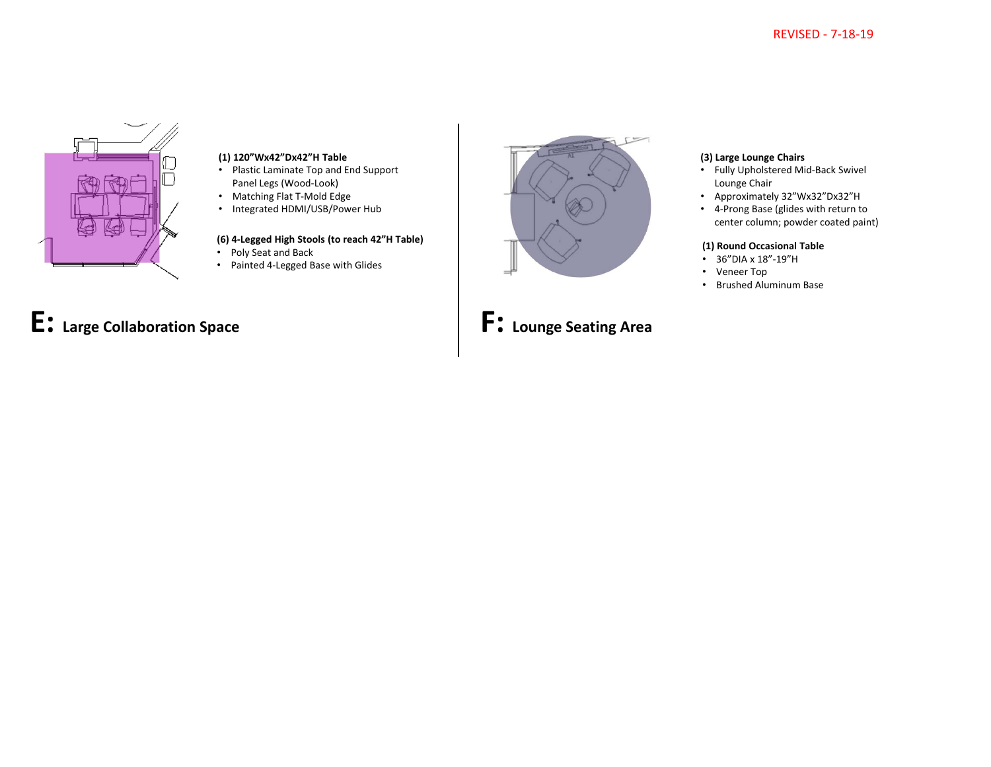

#### **(1) 120"Wx42"Dx42"H Table**

- Plastic Laminate Top and End Support Panel Legs (Wood‐Look)
- Matching Flat T‐Mold Edge
- Integrated HDMI/USB/Power Hub

### **(6) 4‐Legged High Stools (to reach 42"H Table)**

- Poly Seat and Back
- Painted 4‐Legged Base with Glides



#### **(3) Large Lounge Chairs**

- Fully Upholstered Mid‐Back Swivel Lounge Chair
- Approximately 32"Wx32"Dx32"H
- 4‐Prong Base (glides with return to center column; powder coated paint)

#### **(1) Round Occasional Table**

- 36"DIA x 18"‐19"H
- Veneer Top
- Brushed Aluminum Base

# **E: Large Collaboration Space**

**F: Lounge Seating Area**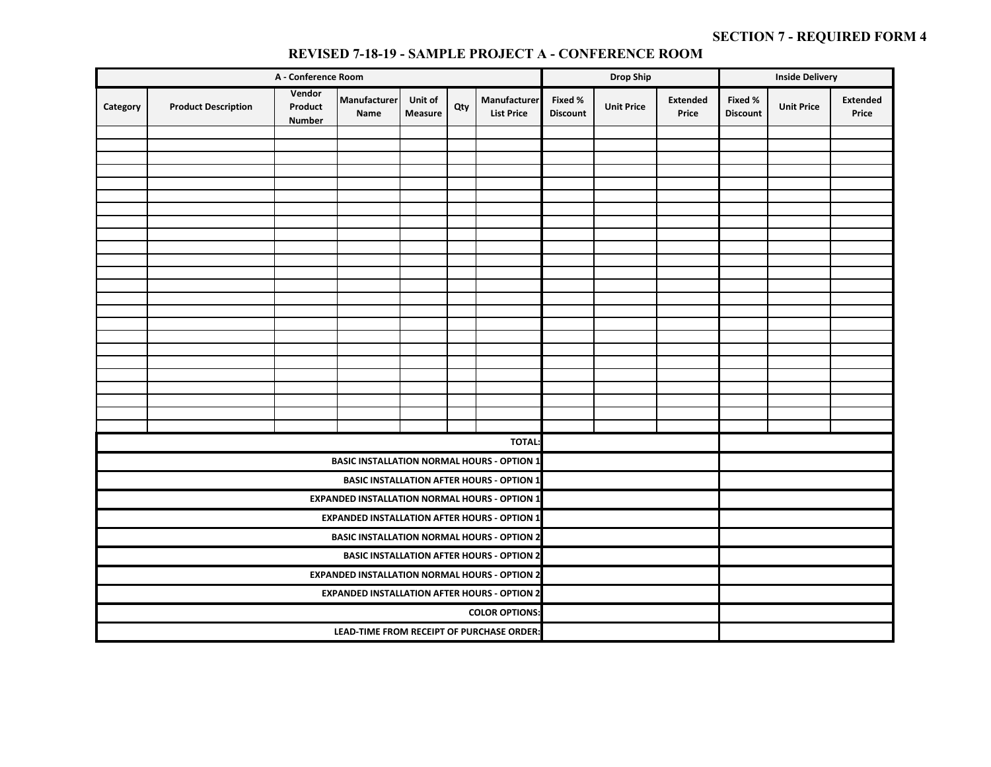## **Category Product Description Vendor Product Number Manufacturer NameUnit of Measure Qty Manufacturer List Price Fixed % Discount Unit Price Extended PriceFixed % Discount Discount Discount Discount Discount Discount Discount Price TOTAL: COLOR OPTIONS:LEAD‐TIME FROM RECEIPT OF PURCHASE ORDER: A ‐ Conference Room Drop Ship Inside Delivery BASIC INSTALLATION NORMAL HOURS ‐ OPTION 1 BASIC INSTALLATION AFTER HOURS ‐ OPTION 1 EXPANDED INSTALLATION NORMAL HOURS ‐ OPTION 1 EXPANDED INSTALLATION AFTER HOURS ‐ OPTION 1 BASIC INSTALLATION NORMAL HOURS ‐ OPTION 2BASIC INSTALLATION AFTER HOURS ‐ OPTION 2EXPANDED INSTALLATION NORMAL HOURS ‐ OPTION 2 EXPANDED INSTALLATION AFTER HOURS ‐ OPTION 2**

### **REVISED 7-18-19 - SAMPLE PROJECT A - CONFERENCE ROOM**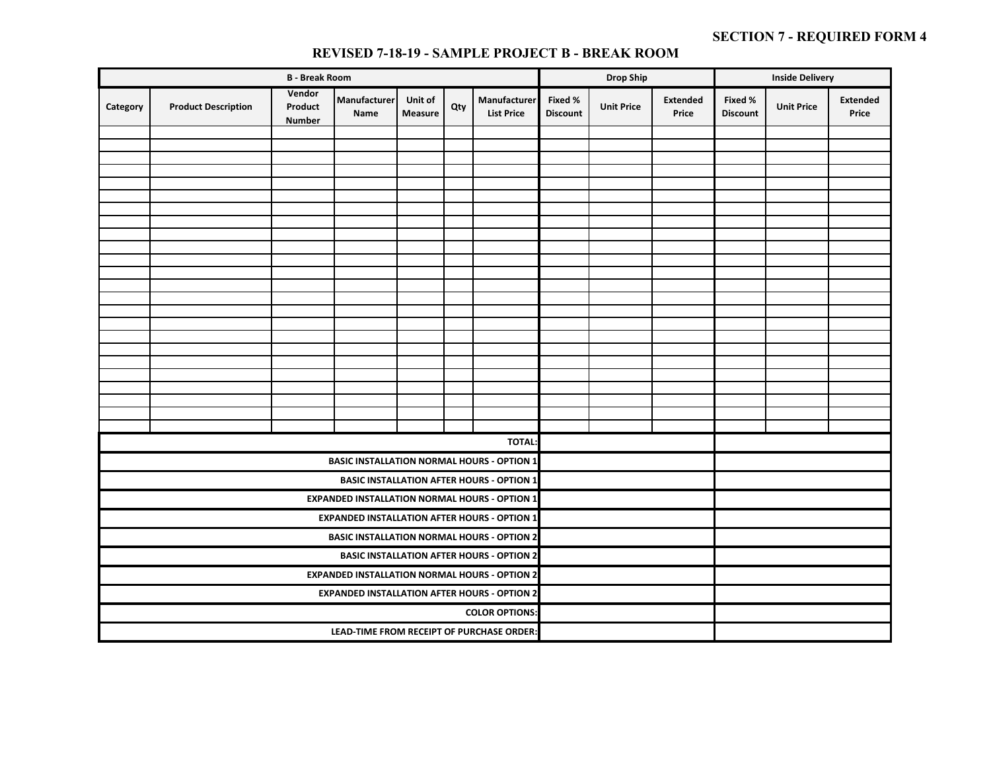|          |                                                                                                                                                            | <b>B</b> - Break Room |                                                      |  | <b>Drop Ship</b> |                                                      | <b>Inside Delivery</b> |                   |                          |                            |                   |                          |
|----------|------------------------------------------------------------------------------------------------------------------------------------------------------------|-----------------------|------------------------------------------------------|--|------------------|------------------------------------------------------|------------------------|-------------------|--------------------------|----------------------------|-------------------|--------------------------|
| Category | Vendor<br>Manufacturer<br>Manufacturer<br>Unit of<br><b>Product Description</b><br>Qty<br>Product<br><b>List Price</b><br>Name<br>Measure<br><b>Number</b> |                       |                                                      |  |                  |                                                      |                        | <b>Unit Price</b> | <b>Extended</b><br>Price | Fixed %<br><b>Discount</b> | <b>Unit Price</b> | <b>Extended</b><br>Price |
|          |                                                                                                                                                            |                       |                                                      |  |                  |                                                      |                        |                   |                          |                            |                   |                          |
|          |                                                                                                                                                            |                       |                                                      |  |                  |                                                      |                        |                   |                          |                            |                   |                          |
|          |                                                                                                                                                            |                       |                                                      |  |                  |                                                      |                        |                   |                          |                            |                   |                          |
|          |                                                                                                                                                            |                       |                                                      |  |                  |                                                      |                        |                   |                          |                            |                   |                          |
|          |                                                                                                                                                            |                       |                                                      |  |                  |                                                      |                        |                   |                          |                            |                   |                          |
|          |                                                                                                                                                            |                       |                                                      |  |                  |                                                      |                        |                   |                          |                            |                   |                          |
|          |                                                                                                                                                            |                       |                                                      |  |                  |                                                      |                        |                   |                          |                            |                   |                          |
|          |                                                                                                                                                            |                       |                                                      |  |                  |                                                      |                        |                   |                          |                            |                   |                          |
|          |                                                                                                                                                            |                       |                                                      |  |                  |                                                      |                        |                   |                          |                            |                   |                          |
|          |                                                                                                                                                            |                       |                                                      |  |                  |                                                      |                        |                   |                          |                            |                   |                          |
|          |                                                                                                                                                            |                       |                                                      |  |                  |                                                      |                        |                   |                          |                            |                   |                          |
|          |                                                                                                                                                            |                       |                                                      |  |                  |                                                      |                        |                   |                          |                            |                   |                          |
|          |                                                                                                                                                            |                       |                                                      |  |                  |                                                      |                        |                   |                          |                            |                   |                          |
|          |                                                                                                                                                            |                       |                                                      |  |                  |                                                      |                        |                   |                          |                            |                   |                          |
|          |                                                                                                                                                            |                       |                                                      |  |                  |                                                      |                        |                   |                          |                            |                   |                          |
|          |                                                                                                                                                            |                       |                                                      |  |                  |                                                      |                        |                   |                          |                            |                   |                          |
|          |                                                                                                                                                            |                       |                                                      |  |                  |                                                      |                        |                   |                          |                            |                   |                          |
|          |                                                                                                                                                            |                       |                                                      |  |                  |                                                      |                        |                   |                          |                            |                   |                          |
|          |                                                                                                                                                            |                       |                                                      |  |                  |                                                      |                        |                   |                          |                            |                   |                          |
|          |                                                                                                                                                            |                       |                                                      |  |                  |                                                      |                        |                   |                          |                            |                   |                          |
|          |                                                                                                                                                            |                       |                                                      |  |                  |                                                      |                        |                   |                          |                            |                   |                          |
|          |                                                                                                                                                            |                       |                                                      |  |                  | <b>TOTAL:</b>                                        |                        |                   |                          |                            |                   |                          |
|          |                                                                                                                                                            |                       |                                                      |  |                  | <b>BASIC INSTALLATION NORMAL HOURS - OPTION 1</b>    |                        |                   |                          |                            |                   |                          |
|          |                                                                                                                                                            |                       |                                                      |  |                  | <b>BASIC INSTALLATION AFTER HOURS - OPTION 1</b>     |                        |                   |                          |                            |                   |                          |
|          |                                                                                                                                                            |                       |                                                      |  |                  | <b>EXPANDED INSTALLATION NORMAL HOURS - OPTION 1</b> |                        |                   |                          |                            |                   |                          |
|          |                                                                                                                                                            |                       |                                                      |  |                  | <b>EXPANDED INSTALLATION AFTER HOURS - OPTION 1</b>  |                        |                   |                          |                            |                   |                          |
|          |                                                                                                                                                            |                       |                                                      |  |                  | <b>BASIC INSTALLATION NORMAL HOURS - OPTION 2</b>    |                        |                   |                          |                            |                   |                          |
|          |                                                                                                                                                            |                       |                                                      |  |                  | <b>BASIC INSTALLATION AFTER HOURS - OPTION 2</b>     |                        |                   |                          |                            |                   |                          |
|          |                                                                                                                                                            |                       | <b>EXPANDED INSTALLATION NORMAL HOURS - OPTION 2</b> |  |                  |                                                      |                        |                   |                          |                            |                   |                          |
|          |                                                                                                                                                            |                       | <b>EXPANDED INSTALLATION AFTER HOURS - OPTION 2</b>  |  |                  |                                                      |                        |                   |                          |                            |                   |                          |
|          |                                                                                                                                                            |                       |                                                      |  |                  |                                                      |                        |                   |                          |                            |                   |                          |
|          |                                                                                                                                                            |                       | LEAD-TIME FROM RECEIPT OF PURCHASE ORDER:            |  |                  |                                                      |                        |                   |                          |                            |                   |                          |

#### **REVISED 7-18-19 - SAMPLE PROJECT B - BREAK ROOM**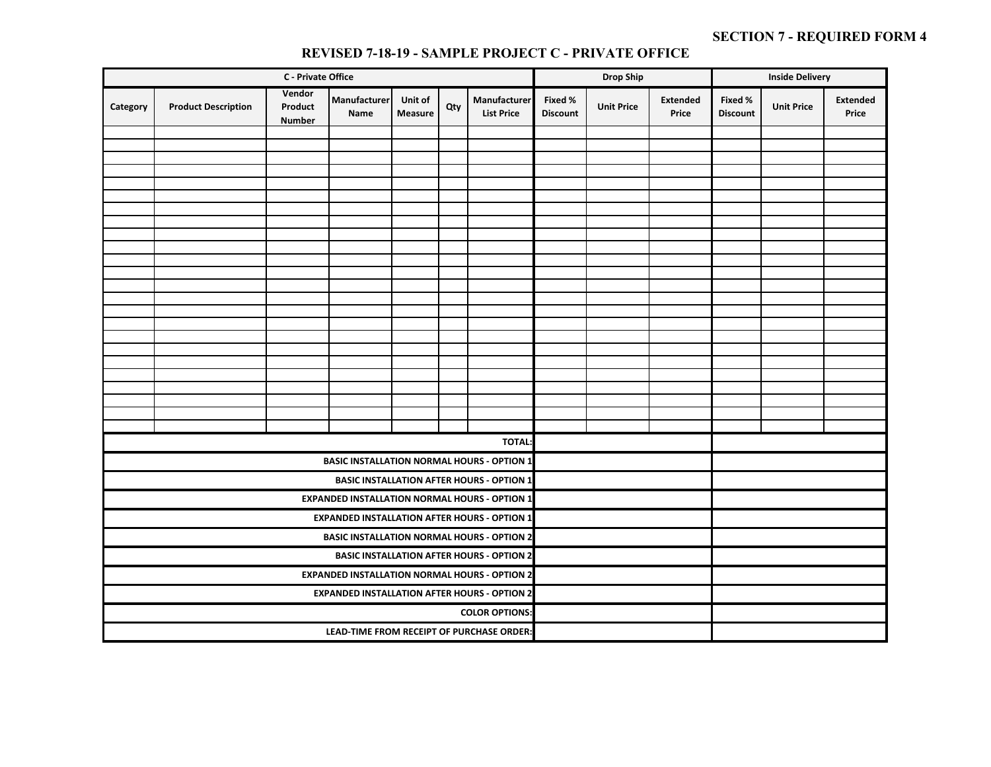|          |                                                                                                                                                            | <b>C</b> - Private Office |                                                     |                                                      |  | <b>Drop Ship</b>                                     |  |                   | <b>Inside Delivery</b>   |                            |                   |                          |
|----------|------------------------------------------------------------------------------------------------------------------------------------------------------------|---------------------------|-----------------------------------------------------|------------------------------------------------------|--|------------------------------------------------------|--|-------------------|--------------------------|----------------------------|-------------------|--------------------------|
| Category | Vendor<br>Manufacturer<br>Manufacturer<br>Unit of<br><b>Product Description</b><br>Product<br>Qty<br><b>List Price</b><br>Name<br>Measure<br><b>Number</b> |                           |                                                     |                                                      |  |                                                      |  | <b>Unit Price</b> | <b>Extended</b><br>Price | Fixed %<br><b>Discount</b> | <b>Unit Price</b> | <b>Extended</b><br>Price |
|          |                                                                                                                                                            |                           |                                                     |                                                      |  |                                                      |  |                   |                          |                            |                   |                          |
|          |                                                                                                                                                            |                           |                                                     |                                                      |  |                                                      |  |                   |                          |                            |                   |                          |
|          |                                                                                                                                                            |                           |                                                     |                                                      |  |                                                      |  |                   |                          |                            |                   |                          |
|          |                                                                                                                                                            |                           |                                                     |                                                      |  |                                                      |  |                   |                          |                            |                   |                          |
|          |                                                                                                                                                            |                           |                                                     |                                                      |  |                                                      |  |                   |                          |                            |                   |                          |
|          |                                                                                                                                                            |                           |                                                     |                                                      |  |                                                      |  |                   |                          |                            |                   |                          |
|          |                                                                                                                                                            |                           |                                                     |                                                      |  |                                                      |  |                   |                          |                            |                   |                          |
|          |                                                                                                                                                            |                           |                                                     |                                                      |  |                                                      |  |                   |                          |                            |                   |                          |
|          |                                                                                                                                                            |                           |                                                     |                                                      |  |                                                      |  |                   |                          |                            |                   |                          |
|          |                                                                                                                                                            |                           |                                                     |                                                      |  |                                                      |  |                   |                          |                            |                   |                          |
|          |                                                                                                                                                            |                           |                                                     |                                                      |  |                                                      |  |                   |                          |                            |                   |                          |
|          |                                                                                                                                                            |                           |                                                     |                                                      |  |                                                      |  |                   |                          |                            |                   |                          |
|          |                                                                                                                                                            |                           |                                                     |                                                      |  |                                                      |  |                   |                          |                            |                   |                          |
|          |                                                                                                                                                            |                           |                                                     |                                                      |  |                                                      |  |                   |                          |                            |                   |                          |
|          |                                                                                                                                                            |                           |                                                     |                                                      |  |                                                      |  |                   |                          |                            |                   |                          |
|          |                                                                                                                                                            |                           |                                                     |                                                      |  |                                                      |  |                   |                          |                            |                   |                          |
|          |                                                                                                                                                            |                           |                                                     |                                                      |  |                                                      |  |                   |                          |                            |                   |                          |
|          |                                                                                                                                                            |                           |                                                     |                                                      |  |                                                      |  |                   |                          |                            |                   |                          |
|          |                                                                                                                                                            |                           |                                                     |                                                      |  |                                                      |  |                   |                          |                            |                   |                          |
|          |                                                                                                                                                            |                           |                                                     |                                                      |  |                                                      |  |                   |                          |                            |                   |                          |
|          |                                                                                                                                                            |                           |                                                     |                                                      |  |                                                      |  |                   |                          |                            |                   |                          |
|          |                                                                                                                                                            |                           |                                                     |                                                      |  | <b>TOTAL:</b>                                        |  |                   |                          |                            |                   |                          |
|          |                                                                                                                                                            |                           |                                                     |                                                      |  | <b>BASIC INSTALLATION NORMAL HOURS - OPTION 1</b>    |  |                   |                          |                            |                   |                          |
|          |                                                                                                                                                            |                           |                                                     |                                                      |  | <b>BASIC INSTALLATION AFTER HOURS - OPTION 1</b>     |  |                   |                          |                            |                   |                          |
|          |                                                                                                                                                            |                           |                                                     |                                                      |  | <b>EXPANDED INSTALLATION NORMAL HOURS - OPTION 1</b> |  |                   |                          |                            |                   |                          |
|          |                                                                                                                                                            |                           |                                                     |                                                      |  | <b>EXPANDED INSTALLATION AFTER HOURS - OPTION 1</b>  |  |                   |                          |                            |                   |                          |
|          |                                                                                                                                                            |                           |                                                     |                                                      |  | <b>BASIC INSTALLATION NORMAL HOURS - OPTION 2</b>    |  |                   |                          |                            |                   |                          |
|          |                                                                                                                                                            |                           |                                                     |                                                      |  | <b>BASIC INSTALLATION AFTER HOURS - OPTION 2</b>     |  |                   |                          |                            |                   |                          |
|          |                                                                                                                                                            |                           |                                                     | <b>EXPANDED INSTALLATION NORMAL HOURS - OPTION 2</b> |  |                                                      |  |                   |                          |                            |                   |                          |
|          |                                                                                                                                                            |                           | <b>EXPANDED INSTALLATION AFTER HOURS - OPTION 2</b> |                                                      |  |                                                      |  |                   |                          |                            |                   |                          |
|          |                                                                                                                                                            |                           |                                                     | <b>COLOR OPTIONS:</b>                                |  |                                                      |  |                   |                          |                            |                   |                          |
|          |                                                                                                                                                            |                           | LEAD-TIME FROM RECEIPT OF PURCHASE ORDER:           |                                                      |  |                                                      |  |                   |                          |                            |                   |                          |

#### **REVISED 7-18-19 - SAMPLE PROJECT C - PRIVATE OFFICE**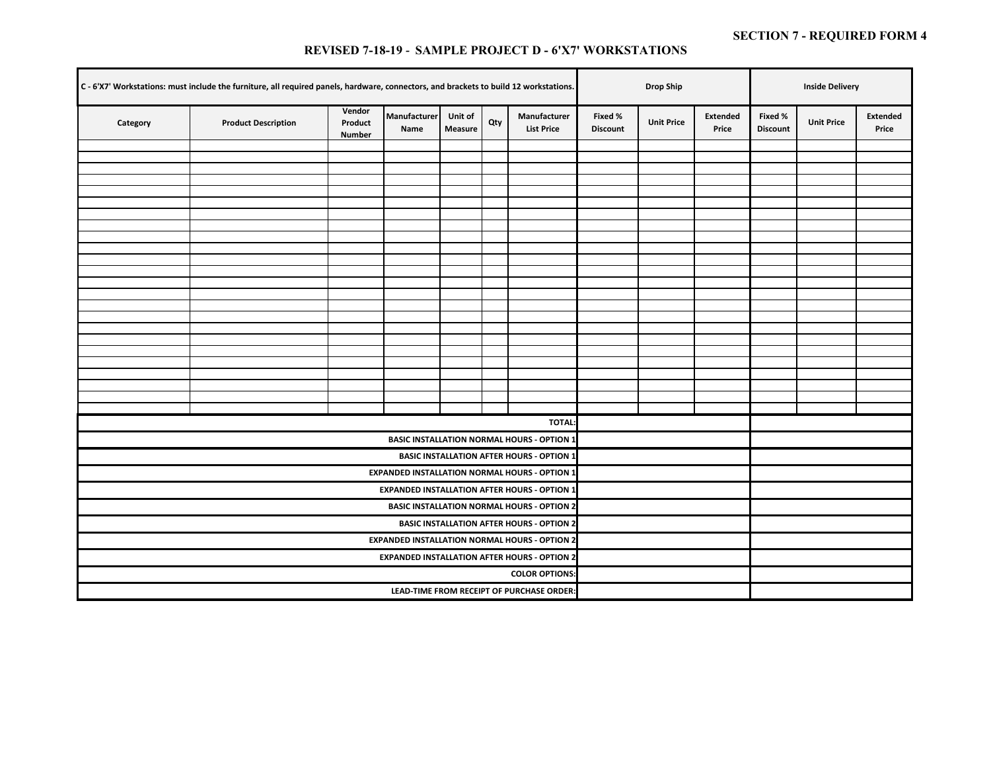#### **REVISED 7-18-19** *-* **SAMPLE PROJECT D - 6'X7' WORKSTATIONS**

| C - 6'X7' Workstations: must include the furniture, all required panels, hardware, connectors, and brackets to build 12 workstations. |                            | <b>Drop Ship</b>                                     |                      | <b>Inside Delivery</b>    |     |                                                      |                            |                   |                   |                            |                   |                   |
|---------------------------------------------------------------------------------------------------------------------------------------|----------------------------|------------------------------------------------------|----------------------|---------------------------|-----|------------------------------------------------------|----------------------------|-------------------|-------------------|----------------------------|-------------------|-------------------|
| Category                                                                                                                              | <b>Product Description</b> | Vendor<br>Product<br><b>Number</b>                   | Manufacturer<br>Name | Unit of<br><b>Measure</b> | Qty | Manufacturer<br><b>List Price</b>                    | Fixed %<br><b>Discount</b> | <b>Unit Price</b> | Extended<br>Price | Fixed %<br><b>Discount</b> | <b>Unit Price</b> | Extended<br>Price |
|                                                                                                                                       |                            |                                                      |                      |                           |     |                                                      |                            |                   |                   |                            |                   |                   |
|                                                                                                                                       |                            |                                                      |                      |                           |     |                                                      |                            |                   |                   |                            |                   |                   |
|                                                                                                                                       |                            |                                                      |                      |                           |     |                                                      |                            |                   |                   |                            |                   |                   |
|                                                                                                                                       |                            |                                                      |                      |                           |     |                                                      |                            |                   |                   |                            |                   |                   |
|                                                                                                                                       |                            |                                                      |                      |                           |     |                                                      |                            |                   |                   |                            |                   |                   |
|                                                                                                                                       |                            |                                                      |                      |                           |     |                                                      |                            |                   |                   |                            |                   |                   |
|                                                                                                                                       |                            |                                                      |                      |                           |     |                                                      |                            |                   |                   |                            |                   |                   |
|                                                                                                                                       |                            |                                                      |                      |                           |     |                                                      |                            |                   |                   |                            |                   |                   |
|                                                                                                                                       |                            |                                                      |                      |                           |     |                                                      |                            |                   |                   |                            |                   |                   |
|                                                                                                                                       |                            |                                                      |                      |                           |     |                                                      |                            |                   |                   |                            |                   |                   |
|                                                                                                                                       |                            |                                                      |                      |                           |     |                                                      |                            |                   |                   |                            |                   |                   |
|                                                                                                                                       |                            |                                                      |                      |                           |     |                                                      |                            |                   |                   |                            |                   |                   |
|                                                                                                                                       |                            |                                                      |                      |                           |     |                                                      |                            |                   |                   |                            |                   |                   |
|                                                                                                                                       |                            |                                                      |                      |                           |     |                                                      |                            |                   |                   |                            |                   |                   |
|                                                                                                                                       |                            |                                                      |                      |                           |     |                                                      |                            |                   |                   |                            |                   |                   |
|                                                                                                                                       |                            |                                                      |                      |                           |     |                                                      |                            |                   |                   |                            |                   |                   |
|                                                                                                                                       |                            |                                                      |                      |                           |     |                                                      |                            |                   |                   |                            |                   |                   |
|                                                                                                                                       |                            |                                                      |                      |                           |     |                                                      |                            |                   |                   |                            |                   |                   |
|                                                                                                                                       |                            |                                                      |                      |                           |     |                                                      |                            |                   |                   |                            |                   |                   |
|                                                                                                                                       |                            |                                                      |                      |                           |     |                                                      |                            |                   |                   |                            |                   |                   |
|                                                                                                                                       |                            |                                                      |                      |                           |     | <b>TOTAL</b>                                         |                            |                   |                   |                            |                   |                   |
|                                                                                                                                       |                            |                                                      |                      |                           |     | <b>BASIC INSTALLATION NORMAL HOURS - OPTION 1</b>    |                            |                   |                   |                            |                   |                   |
|                                                                                                                                       |                            |                                                      |                      |                           |     | <b>BASIC INSTALLATION AFTER HOURS - OPTION 1</b>     |                            |                   |                   |                            |                   |                   |
|                                                                                                                                       |                            |                                                      |                      |                           |     | <b>EXPANDED INSTALLATION NORMAL HOURS - OPTION 1</b> |                            |                   |                   |                            |                   |                   |
|                                                                                                                                       |                            |                                                      |                      |                           |     | <b>EXPANDED INSTALLATION AFTER HOURS - OPTION 1</b>  |                            |                   |                   |                            |                   |                   |
|                                                                                                                                       |                            |                                                      |                      |                           |     | <b>BASIC INSTALLATION NORMAL HOURS - OPTION 2</b>    |                            |                   |                   |                            |                   |                   |
|                                                                                                                                       |                            |                                                      |                      |                           |     | <b>BASIC INSTALLATION AFTER HOURS - OPTION 2</b>     |                            |                   |                   |                            |                   |                   |
|                                                                                                                                       |                            | <b>EXPANDED INSTALLATION NORMAL HOURS - OPTION 2</b> |                      |                           |     |                                                      |                            |                   |                   |                            |                   |                   |
|                                                                                                                                       |                            | <b>EXPANDED INSTALLATION AFTER HOURS - OPTION 2</b>  |                      |                           |     |                                                      |                            |                   |                   |                            |                   |                   |
|                                                                                                                                       |                            | <b>COLOR OPTIONS:</b>                                |                      |                           |     |                                                      |                            |                   |                   |                            |                   |                   |
|                                                                                                                                       |                            |                                                      |                      |                           |     |                                                      |                            |                   |                   |                            |                   |                   |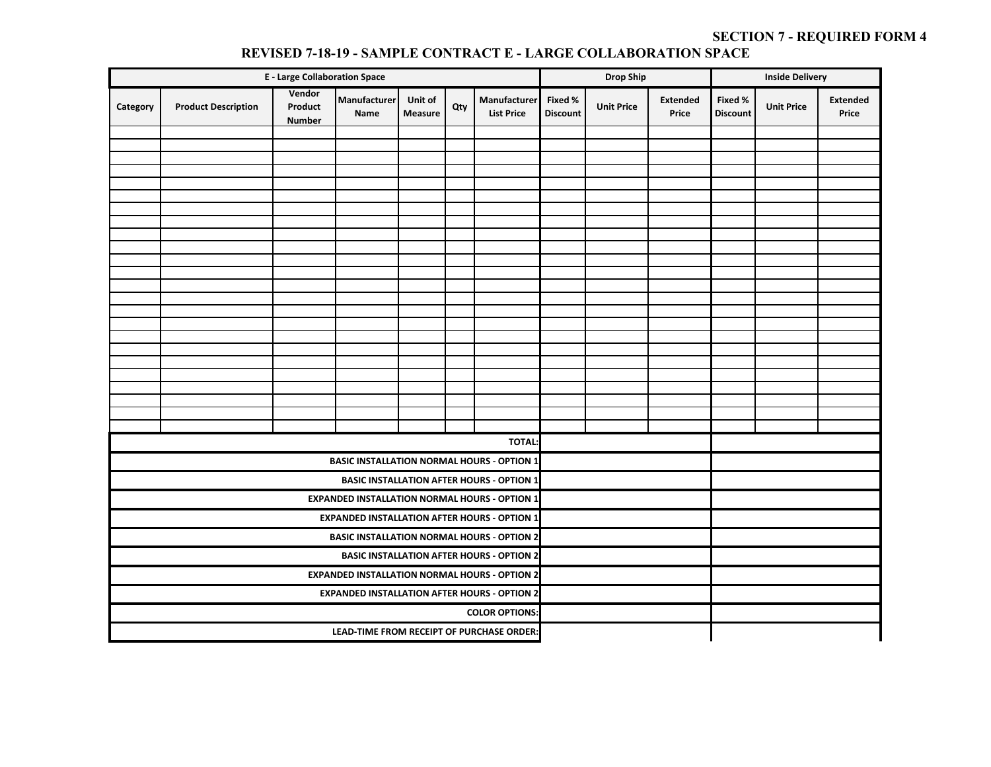|          |                                                                                                                                                            | <b>E</b> - Large Collaboration Space |                                                      |                                                  | <b>Drop Ship</b> |                                                   | <b>Inside Delivery</b> |                   |                          |                            |                   |                          |
|----------|------------------------------------------------------------------------------------------------------------------------------------------------------------|--------------------------------------|------------------------------------------------------|--------------------------------------------------|------------------|---------------------------------------------------|------------------------|-------------------|--------------------------|----------------------------|-------------------|--------------------------|
| Category | Vendor<br>Manufacturer<br>Manufacturer<br>Unit of<br><b>Product Description</b><br>Product<br>Qty<br><b>List Price</b><br>Name<br>Measure<br><b>Number</b> |                                      |                                                      |                                                  |                  |                                                   |                        | <b>Unit Price</b> | <b>Extended</b><br>Price | Fixed %<br><b>Discount</b> | <b>Unit Price</b> | <b>Extended</b><br>Price |
|          |                                                                                                                                                            |                                      |                                                      |                                                  |                  |                                                   |                        |                   |                          |                            |                   |                          |
|          |                                                                                                                                                            |                                      |                                                      |                                                  |                  |                                                   |                        |                   |                          |                            |                   |                          |
|          |                                                                                                                                                            |                                      |                                                      |                                                  |                  |                                                   |                        |                   |                          |                            |                   |                          |
|          |                                                                                                                                                            |                                      |                                                      |                                                  |                  |                                                   |                        |                   |                          |                            |                   |                          |
|          |                                                                                                                                                            |                                      |                                                      |                                                  |                  |                                                   |                        |                   |                          |                            |                   |                          |
|          |                                                                                                                                                            |                                      |                                                      |                                                  |                  |                                                   |                        |                   |                          |                            |                   |                          |
|          |                                                                                                                                                            |                                      |                                                      |                                                  |                  |                                                   |                        |                   |                          |                            |                   |                          |
|          |                                                                                                                                                            |                                      |                                                      |                                                  |                  |                                                   |                        |                   |                          |                            |                   |                          |
|          |                                                                                                                                                            |                                      |                                                      |                                                  |                  |                                                   |                        |                   |                          |                            |                   |                          |
|          |                                                                                                                                                            |                                      |                                                      |                                                  |                  |                                                   |                        |                   |                          |                            |                   |                          |
|          |                                                                                                                                                            |                                      |                                                      |                                                  |                  |                                                   |                        |                   |                          |                            |                   |                          |
|          |                                                                                                                                                            |                                      |                                                      |                                                  |                  |                                                   |                        |                   |                          |                            |                   |                          |
|          |                                                                                                                                                            |                                      |                                                      |                                                  |                  |                                                   |                        |                   |                          |                            |                   |                          |
|          |                                                                                                                                                            |                                      |                                                      |                                                  |                  |                                                   |                        |                   |                          |                            |                   |                          |
|          |                                                                                                                                                            |                                      |                                                      |                                                  |                  |                                                   |                        |                   |                          |                            |                   |                          |
|          |                                                                                                                                                            |                                      |                                                      |                                                  |                  |                                                   |                        |                   |                          |                            |                   |                          |
|          |                                                                                                                                                            |                                      |                                                      |                                                  |                  |                                                   |                        |                   |                          |                            |                   |                          |
|          |                                                                                                                                                            |                                      |                                                      |                                                  |                  |                                                   |                        |                   |                          |                            |                   |                          |
|          |                                                                                                                                                            |                                      |                                                      |                                                  |                  |                                                   |                        |                   |                          |                            |                   |                          |
|          |                                                                                                                                                            |                                      |                                                      |                                                  |                  |                                                   |                        |                   |                          |                            |                   |                          |
|          |                                                                                                                                                            |                                      |                                                      |                                                  |                  | <b>TOTAL:</b>                                     |                        |                   |                          |                            |                   |                          |
|          |                                                                                                                                                            |                                      |                                                      |                                                  |                  | <b>BASIC INSTALLATION NORMAL HOURS - OPTION 1</b> |                        |                   |                          |                            |                   |                          |
|          |                                                                                                                                                            |                                      |                                                      |                                                  |                  | <b>BASIC INSTALLATION AFTER HOURS - OPTION 1</b>  |                        |                   |                          |                            |                   |                          |
|          |                                                                                                                                                            |                                      | <b>EXPANDED INSTALLATION NORMAL HOURS - OPTION 1</b> |                                                  |                  |                                                   |                        |                   |                          |                            |                   |                          |
|          |                                                                                                                                                            |                                      | <b>EXPANDED INSTALLATION AFTER HOURS - OPTION 1</b>  |                                                  |                  |                                                   |                        |                   |                          |                            |                   |                          |
|          |                                                                                                                                                            |                                      | <b>BASIC INSTALLATION NORMAL HOURS - OPTION 2</b>    |                                                  |                  |                                                   |                        |                   |                          |                            |                   |                          |
|          |                                                                                                                                                            |                                      |                                                      | <b>BASIC INSTALLATION AFTER HOURS - OPTION 2</b> |                  |                                                   |                        |                   |                          |                            |                   |                          |
|          |                                                                                                                                                            |                                      | <b>EXPANDED INSTALLATION NORMAL HOURS - OPTION 2</b> |                                                  |                  |                                                   |                        |                   |                          |                            |                   |                          |
|          |                                                                                                                                                            |                                      | <b>EXPANDED INSTALLATION AFTER HOURS - OPTION 2</b>  |                                                  |                  |                                                   |                        |                   |                          |                            |                   |                          |
|          |                                                                                                                                                            |                                      |                                                      |                                                  |                  |                                                   |                        |                   |                          |                            |                   |                          |
|          |                                                                                                                                                            |                                      | LEAD-TIME FROM RECEIPT OF PURCHASE ORDER:            |                                                  |                  |                                                   |                        |                   |                          |                            |                   |                          |

#### **REVISED 7-18-19 - SAMPLE CONTRACT E - LARGE COLLABORATION SPACE**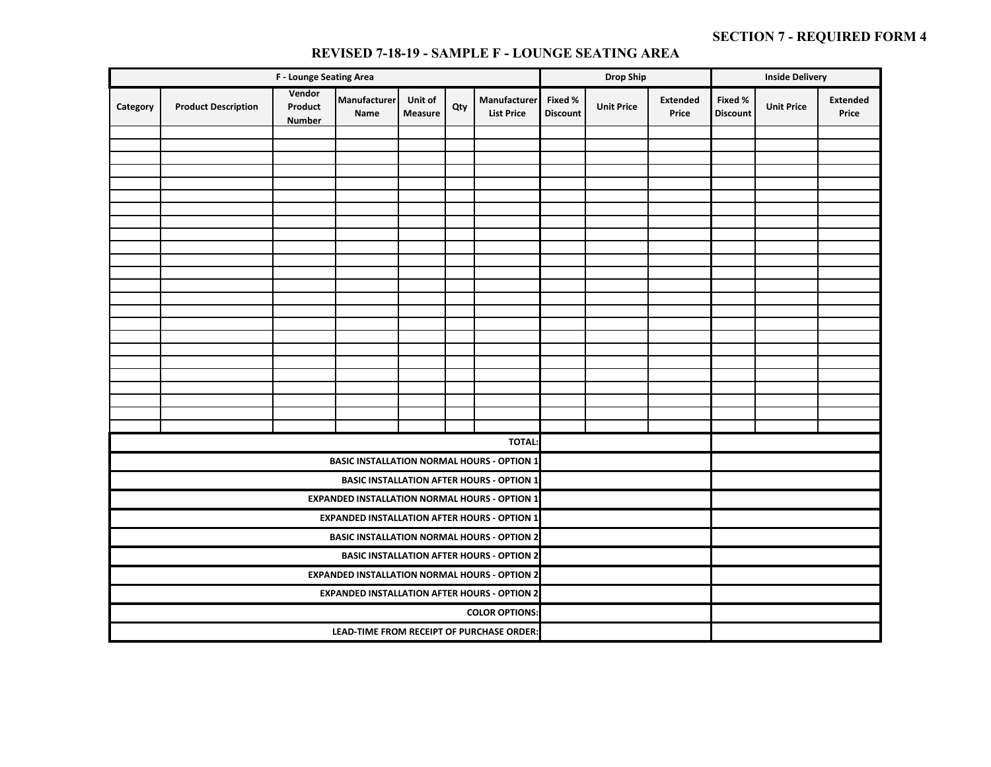|          |                                                                                                                                                                                                 | F - Lounge Seating Area |                                           |                                                      | <b>Drop Ship</b> |                                                      | <b>Inside Delivery</b> |  |                          |                            |                   |                          |
|----------|-------------------------------------------------------------------------------------------------------------------------------------------------------------------------------------------------|-------------------------|-------------------------------------------|------------------------------------------------------|------------------|------------------------------------------------------|------------------------|--|--------------------------|----------------------------|-------------------|--------------------------|
| Category | Vendor<br>Manufacturer<br>Manufacturer<br>Unit of<br>Fixed %<br><b>Product Description</b><br>Product<br>Qty<br><b>Measure</b><br><b>List Price</b><br>Name<br><b>Discount</b><br><b>Number</b> |                         |                                           |                                                      |                  |                                                      |                        |  | <b>Extended</b><br>Price | Fixed %<br><b>Discount</b> | <b>Unit Price</b> | <b>Extended</b><br>Price |
|          |                                                                                                                                                                                                 |                         |                                           |                                                      |                  |                                                      |                        |  |                          |                            |                   |                          |
|          |                                                                                                                                                                                                 |                         |                                           |                                                      |                  |                                                      |                        |  |                          |                            |                   |                          |
|          |                                                                                                                                                                                                 |                         |                                           |                                                      |                  |                                                      |                        |  |                          |                            |                   |                          |
|          |                                                                                                                                                                                                 |                         |                                           |                                                      |                  |                                                      |                        |  |                          |                            |                   |                          |
|          |                                                                                                                                                                                                 |                         |                                           |                                                      |                  |                                                      |                        |  |                          |                            |                   |                          |
|          |                                                                                                                                                                                                 |                         |                                           |                                                      |                  |                                                      |                        |  |                          |                            |                   |                          |
|          |                                                                                                                                                                                                 |                         |                                           |                                                      |                  |                                                      |                        |  |                          |                            |                   |                          |
|          |                                                                                                                                                                                                 |                         |                                           |                                                      |                  |                                                      |                        |  |                          |                            |                   |                          |
|          |                                                                                                                                                                                                 |                         |                                           |                                                      |                  |                                                      |                        |  |                          |                            |                   |                          |
|          |                                                                                                                                                                                                 |                         |                                           |                                                      |                  |                                                      |                        |  |                          |                            |                   |                          |
|          |                                                                                                                                                                                                 |                         |                                           |                                                      |                  |                                                      |                        |  |                          |                            |                   |                          |
|          |                                                                                                                                                                                                 |                         |                                           |                                                      |                  |                                                      |                        |  |                          |                            |                   |                          |
|          |                                                                                                                                                                                                 |                         |                                           |                                                      |                  |                                                      |                        |  |                          |                            |                   |                          |
|          |                                                                                                                                                                                                 |                         |                                           |                                                      |                  |                                                      |                        |  |                          |                            |                   |                          |
|          |                                                                                                                                                                                                 |                         |                                           |                                                      |                  |                                                      |                        |  |                          |                            |                   |                          |
|          |                                                                                                                                                                                                 |                         |                                           |                                                      |                  |                                                      |                        |  |                          |                            |                   |                          |
|          |                                                                                                                                                                                                 |                         |                                           |                                                      |                  |                                                      |                        |  |                          |                            |                   |                          |
|          |                                                                                                                                                                                                 |                         |                                           |                                                      |                  |                                                      |                        |  |                          |                            |                   |                          |
|          |                                                                                                                                                                                                 |                         |                                           |                                                      |                  | <b>TOTAL</b>                                         |                        |  |                          |                            |                   |                          |
|          |                                                                                                                                                                                                 |                         |                                           |                                                      |                  | <b>BASIC INSTALLATION NORMAL HOURS - OPTION 1</b>    |                        |  |                          |                            |                   |                          |
|          |                                                                                                                                                                                                 |                         |                                           |                                                      |                  | <b>BASIC INSTALLATION AFTER HOURS - OPTION 1</b>     |                        |  |                          |                            |                   |                          |
|          |                                                                                                                                                                                                 |                         |                                           |                                                      |                  | <b>EXPANDED INSTALLATION NORMAL HOURS - OPTION 1</b> |                        |  |                          |                            |                   |                          |
|          |                                                                                                                                                                                                 |                         |                                           |                                                      |                  | <b>EXPANDED INSTALLATION AFTER HOURS - OPTION 1</b>  |                        |  |                          |                            |                   |                          |
|          |                                                                                                                                                                                                 |                         |                                           |                                                      |                  | <b>BASIC INSTALLATION NORMAL HOURS - OPTION 2</b>    |                        |  |                          |                            |                   |                          |
|          |                                                                                                                                                                                                 |                         |                                           |                                                      |                  | <b>BASIC INSTALLATION AFTER HOURS - OPTION 2</b>     |                        |  |                          |                            |                   |                          |
|          |                                                                                                                                                                                                 |                         |                                           | <b>EXPANDED INSTALLATION NORMAL HOURS - OPTION 2</b> |                  |                                                      |                        |  |                          |                            |                   |                          |
|          |                                                                                                                                                                                                 |                         |                                           | <b>EXPANDED INSTALLATION AFTER HOURS - OPTION 2</b>  |                  |                                                      |                        |  |                          |                            |                   |                          |
|          |                                                                                                                                                                                                 |                         |                                           |                                                      |                  |                                                      |                        |  |                          |                            |                   |                          |
|          |                                                                                                                                                                                                 |                         | LEAD-TIME FROM RECEIPT OF PURCHASE ORDER: |                                                      |                  |                                                      |                        |  |                          |                            |                   |                          |

#### **REVISED 7-18-19 - SAMPLE F - LOUNGE SEATING AREA**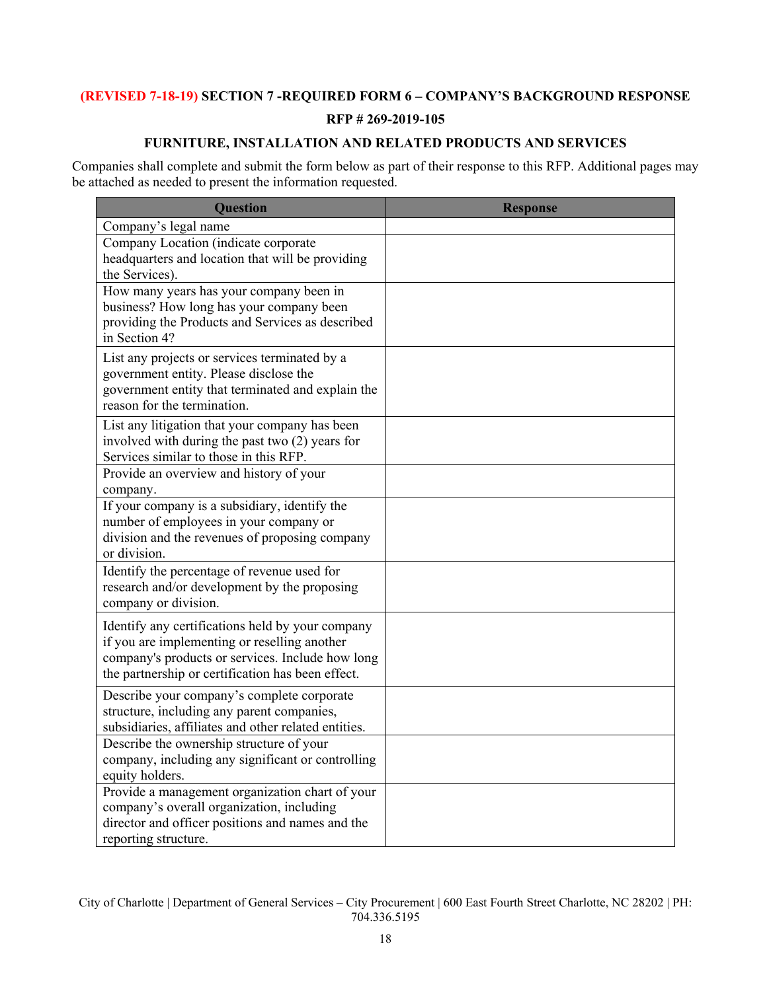## **(REVISED 7-18-19) SECTION 7 -REQUIRED FORM 6 – COMPANY'S BACKGROUND RESPONSE**

## **RFP # 269-2019-105**

## **FURNITURE, INSTALLATION AND RELATED PRODUCTS AND SERVICES**

Companies shall complete and submit the form below as part of their response to this RFP. Additional pages may be attached as needed to present the information requested.

| <b>Question</b>                                                                                                                                                                                           | <b>Response</b> |
|-----------------------------------------------------------------------------------------------------------------------------------------------------------------------------------------------------------|-----------------|
| Company's legal name                                                                                                                                                                                      |                 |
| Company Location (indicate corporate<br>headquarters and location that will be providing<br>the Services).                                                                                                |                 |
| How many years has your company been in<br>business? How long has your company been<br>providing the Products and Services as described<br>in Section 4?                                                  |                 |
| List any projects or services terminated by a<br>government entity. Please disclose the<br>government entity that terminated and explain the<br>reason for the termination.                               |                 |
| List any litigation that your company has been<br>involved with during the past two $(2)$ years for<br>Services similar to those in this RFP.                                                             |                 |
| Provide an overview and history of your<br>company.                                                                                                                                                       |                 |
| If your company is a subsidiary, identify the<br>number of employees in your company or<br>division and the revenues of proposing company<br>or division.                                                 |                 |
| Identify the percentage of revenue used for<br>research and/or development by the proposing<br>company or division.                                                                                       |                 |
| Identify any certifications held by your company<br>if you are implementing or reselling another<br>company's products or services. Include how long<br>the partnership or certification has been effect. |                 |
| Describe your company's complete corporate<br>structure, including any parent companies,<br>subsidiaries, affiliates and other related entities.                                                          |                 |
| Describe the ownership structure of your<br>company, including any significant or controlling<br>equity holders.                                                                                          |                 |
| Provide a management organization chart of your<br>company's overall organization, including<br>director and officer positions and names and the<br>reporting structure.                                  |                 |